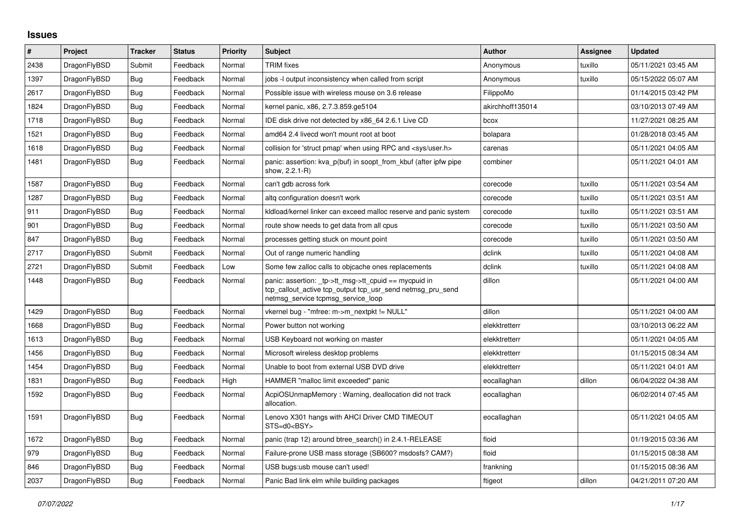## **Issues**

| #    | Project      | <b>Tracker</b> | <b>Status</b> | <b>Priority</b> | <b>Subject</b>                                                                                                                                            | <b>Author</b>    | Assignee | <b>Updated</b>      |
|------|--------------|----------------|---------------|-----------------|-----------------------------------------------------------------------------------------------------------------------------------------------------------|------------------|----------|---------------------|
| 2438 | DragonFlyBSD | Submit         | Feedback      | Normal          | <b>TRIM</b> fixes                                                                                                                                         | Anonymous        | tuxillo  | 05/11/2021 03:45 AM |
| 1397 | DragonFlyBSD | Bug            | Feedback      | Normal          | jobs -I output inconsistency when called from script                                                                                                      | Anonymous        | tuxillo  | 05/15/2022 05:07 AM |
| 2617 | DragonFlyBSD | Bug            | Feedback      | Normal          | Possible issue with wireless mouse on 3.6 release                                                                                                         | FilippoMo        |          | 01/14/2015 03:42 PM |
| 1824 | DragonFlyBSD | <b>Bug</b>     | Feedback      | Normal          | kernel panic, x86, 2.7.3.859.ge5104                                                                                                                       | akirchhoff135014 |          | 03/10/2013 07:49 AM |
| 1718 | DragonFlyBSD | <b>Bug</b>     | Feedback      | Normal          | IDE disk drive not detected by x86 64 2.6.1 Live CD                                                                                                       | bcox             |          | 11/27/2021 08:25 AM |
| 1521 | DragonFlyBSD | <b>Bug</b>     | Feedback      | Normal          | amd64 2.4 livecd won't mount root at boot                                                                                                                 | bolapara         |          | 01/28/2018 03:45 AM |
| 1618 | DragonFlyBSD | <b>Bug</b>     | Feedback      | Normal          | collision for 'struct pmap' when using RPC and <sys user.h=""></sys>                                                                                      | carenas          |          | 05/11/2021 04:05 AM |
| 1481 | DragonFlyBSD | <b>Bug</b>     | Feedback      | Normal          | panic: assertion: kva_p(buf) in soopt_from_kbuf (after ipfw pipe<br>show, 2.2.1-R)                                                                        | combiner         |          | 05/11/2021 04:01 AM |
| 1587 | DragonFlyBSD | Bug            | Feedback      | Normal          | can't gdb across fork                                                                                                                                     | corecode         | tuxillo  | 05/11/2021 03:54 AM |
| 1287 | DragonFlyBSD | Bug            | Feedback      | Normal          | altg configuration doesn't work                                                                                                                           | corecode         | tuxillo  | 05/11/2021 03:51 AM |
| 911  | DragonFlyBSD | <b>Bug</b>     | Feedback      | Normal          | kidload/kernel linker can exceed malloc reserve and panic system                                                                                          | corecode         | tuxillo  | 05/11/2021 03:51 AM |
| 901  | DragonFlyBSD | Bug            | Feedback      | Normal          | route show needs to get data from all cpus                                                                                                                | corecode         | tuxillo  | 05/11/2021 03:50 AM |
| 847  | DragonFlyBSD | Bug            | Feedback      | Normal          | processes getting stuck on mount point                                                                                                                    | corecode         | tuxillo  | 05/11/2021 03:50 AM |
| 2717 | DragonFlyBSD | Submit         | Feedback      | Normal          | Out of range numeric handling                                                                                                                             | dclink           | tuxillo  | 05/11/2021 04:08 AM |
| 2721 | DragonFlyBSD | Submit         | Feedback      | Low             | Some few zalloc calls to objcache ones replacements                                                                                                       | dclink           | tuxillo  | 05/11/2021 04:08 AM |
| 1448 | DragonFlyBSD | Bug            | Feedback      | Normal          | panic: assertion: _tp->tt_msg->tt_cpuid == mycpuid in<br>tcp_callout_active tcp_output tcp_usr_send netmsg_pru_send<br>netmsg_service tcpmsg_service_loop | dillon           |          | 05/11/2021 04:00 AM |
| 1429 | DragonFlyBSD | <b>Bug</b>     | Feedback      | Normal          | vkernel bug - "mfree: m->m_nextpkt != NULL"                                                                                                               | dillon           |          | 05/11/2021 04:00 AM |
| 1668 | DragonFlyBSD | Bug            | Feedback      | Normal          | Power button not working                                                                                                                                  | elekktretterr    |          | 03/10/2013 06:22 AM |
| 1613 | DragonFlyBSD | <b>Bug</b>     | Feedback      | Normal          | USB Keyboard not working on master                                                                                                                        | elekktretterr    |          | 05/11/2021 04:05 AM |
| 1456 | DragonFlyBSD | Bug            | Feedback      | Normal          | Microsoft wireless desktop problems                                                                                                                       | elekktretterr    |          | 01/15/2015 08:34 AM |
| 1454 | DragonFlyBSD | <b>Bug</b>     | Feedback      | Normal          | Unable to boot from external USB DVD drive                                                                                                                | elekktretterr    |          | 05/11/2021 04:01 AM |
| 1831 | DragonFlyBSD | <b>Bug</b>     | Feedback      | High            | HAMMER "malloc limit exceeded" panic                                                                                                                      | eocallaghan      | dillon   | 06/04/2022 04:38 AM |
| 1592 | DragonFlyBSD | <b>Bug</b>     | Feedback      | Normal          | AcpiOSUnmapMemory: Warning, deallocation did not track<br>allocation.                                                                                     | eocallaghan      |          | 06/02/2014 07:45 AM |
| 1591 | DragonFlyBSD | Bug            | Feedback      | Normal          | Lenovo X301 hangs with AHCI Driver CMD TIMEOUT<br>STS=d0 <bsy></bsy>                                                                                      | eocallaghan      |          | 05/11/2021 04:05 AM |
| 1672 | DragonFlyBSD | <b>Bug</b>     | Feedback      | Normal          | panic (trap 12) around btree search() in 2.4.1-RELEASE                                                                                                    | floid            |          | 01/19/2015 03:36 AM |
| 979  | DragonFlyBSD | Bug            | Feedback      | Normal          | Failure-prone USB mass storage (SB600? msdosfs? CAM?)                                                                                                     | floid            |          | 01/15/2015 08:38 AM |
| 846  | DragonFlyBSD | Bug            | Feedback      | Normal          | USB bugs:usb mouse can't used!                                                                                                                            | frankning        |          | 01/15/2015 08:36 AM |
| 2037 | DragonFlyBSD | <b>Bug</b>     | Feedback      | Normal          | Panic Bad link elm while building packages                                                                                                                | ftigeot          | dillon   | 04/21/2011 07:20 AM |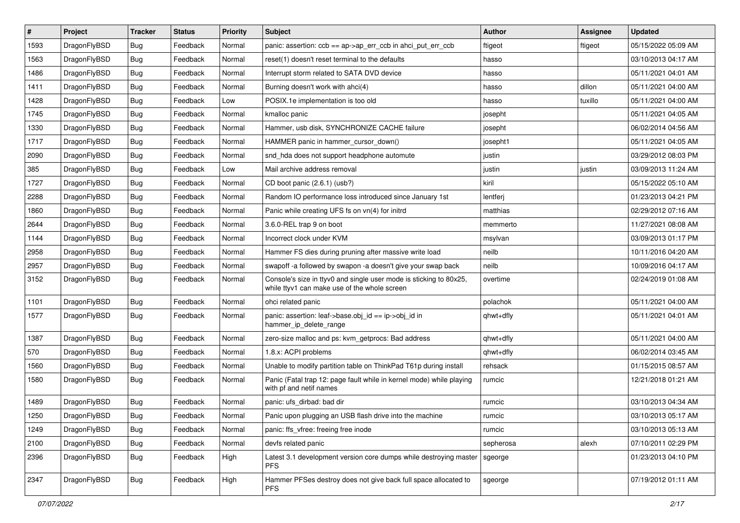| $\vert$ # | Project      | <b>Tracker</b> | <b>Status</b> | <b>Priority</b> | <b>Subject</b>                                                                                                     | <b>Author</b> | Assignee | <b>Updated</b>      |
|-----------|--------------|----------------|---------------|-----------------|--------------------------------------------------------------------------------------------------------------------|---------------|----------|---------------------|
| 1593      | DragonFlyBSD | <b>Bug</b>     | Feedback      | Normal          | panic: assertion: $ccb == ap$ ->ap_err_ccb in ahci_put_err_ccb                                                     | ftigeot       | ftigeot  | 05/15/2022 05:09 AM |
| 1563      | DragonFlyBSD | Bug            | Feedback      | Normal          | reset(1) doesn't reset terminal to the defaults                                                                    | hasso         |          | 03/10/2013 04:17 AM |
| 1486      | DragonFlyBSD | <b>Bug</b>     | Feedback      | Normal          | Interrupt storm related to SATA DVD device                                                                         | hasso         |          | 05/11/2021 04:01 AM |
| 1411      | DragonFlyBSD | <b>Bug</b>     | Feedback      | Normal          | Burning doesn't work with ahci(4)                                                                                  | hasso         | dillon   | 05/11/2021 04:00 AM |
| 1428      | DragonFlyBSD | Bug            | Feedback      | Low             | POSIX.1e implementation is too old                                                                                 | hasso         | tuxillo  | 05/11/2021 04:00 AM |
| 1745      | DragonFlyBSD | <b>Bug</b>     | Feedback      | Normal          | kmalloc panic                                                                                                      | josepht       |          | 05/11/2021 04:05 AM |
| 1330      | DragonFlyBSD | Bug            | Feedback      | Normal          | Hammer, usb disk, SYNCHRONIZE CACHE failure                                                                        | josepht       |          | 06/02/2014 04:56 AM |
| 1717      | DragonFlyBSD | <b>Bug</b>     | Feedback      | Normal          | HAMMER panic in hammer cursor down()                                                                               | josepht1      |          | 05/11/2021 04:05 AM |
| 2090      | DragonFlyBSD | <b>Bug</b>     | Feedback      | Normal          | snd_hda does not support headphone automute                                                                        | justin        |          | 03/29/2012 08:03 PM |
| 385       | DragonFlyBSD | <b>Bug</b>     | Feedback      | Low             | Mail archive address removal                                                                                       | justin        | justin   | 03/09/2013 11:24 AM |
| 1727      | DragonFlyBSD | Bug            | Feedback      | Normal          | CD boot panic (2.6.1) (usb?)                                                                                       | kiril         |          | 05/15/2022 05:10 AM |
| 2288      | DragonFlyBSD | Bug            | Feedback      | Normal          | Random IO performance loss introduced since January 1st                                                            | lentferj      |          | 01/23/2013 04:21 PM |
| 1860      | DragonFlyBSD | Bug            | Feedback      | Normal          | Panic while creating UFS fs on vn(4) for initrd                                                                    | matthias      |          | 02/29/2012 07:16 AM |
| 2644      | DragonFlyBSD | Bug            | Feedback      | Normal          | 3.6.0-REL trap 9 on boot                                                                                           | memmerto      |          | 11/27/2021 08:08 AM |
| 1144      | DragonFlyBSD | <b>Bug</b>     | Feedback      | Normal          | Incorrect clock under KVM                                                                                          | msylvan       |          | 03/09/2013 01:17 PM |
| 2958      | DragonFlyBSD | <b>Bug</b>     | Feedback      | Normal          | Hammer FS dies during pruning after massive write load                                                             | neilb         |          | 10/11/2016 04:20 AM |
| 2957      | DragonFlyBSD | Bug            | Feedback      | Normal          | swapoff -a followed by swapon -a doesn't give your swap back                                                       | neilb         |          | 10/09/2016 04:17 AM |
| 3152      | DragonFlyBSD | Bug            | Feedback      | Normal          | Console's size in ttyv0 and single user mode is sticking to 80x25,<br>while ttyv1 can make use of the whole screen | overtime      |          | 02/24/2019 01:08 AM |
| 1101      | DragonFlyBSD | Bug            | Feedback      | Normal          | ohci related panic                                                                                                 | polachok      |          | 05/11/2021 04:00 AM |
| 1577      | DragonFlyBSD | <b>Bug</b>     | Feedback      | Normal          | panic: assertion: leaf->base.obj_id == ip->obj_id in<br>hammer_ip_delete_range                                     | qhwt+dfly     |          | 05/11/2021 04:01 AM |
| 1387      | DragonFlyBSD | <b>Bug</b>     | Feedback      | Normal          | zero-size malloc and ps: kvm_getprocs: Bad address                                                                 | qhwt+dfly     |          | 05/11/2021 04:00 AM |
| 570       | DragonFlyBSD | <b>Bug</b>     | Feedback      | Normal          | 1.8.x: ACPI problems                                                                                               | qhwt+dfly     |          | 06/02/2014 03:45 AM |
| 1560      | DragonFlyBSD | Bug            | Feedback      | Normal          | Unable to modify partition table on ThinkPad T61p during install                                                   | rehsack       |          | 01/15/2015 08:57 AM |
| 1580      | DragonFlyBSD | Bug            | Feedback      | Normal          | Panic (Fatal trap 12: page fault while in kernel mode) while playing<br>with pf and netif names                    | rumcic        |          | 12/21/2018 01:21 AM |
| 1489      | DragonFlyBSD | Bug            | Feedback      | Normal          | panic: ufs dirbad: bad dir                                                                                         | rumcic        |          | 03/10/2013 04:34 AM |
| 1250      | DragonFlyBSD | Bug            | Feedback      | Normal          | Panic upon plugging an USB flash drive into the machine                                                            | rumcic        |          | 03/10/2013 05:17 AM |
| 1249      | DragonFlyBSD | Bug            | Feedback      | Normal          | panic: ffs vfree: freeing free inode                                                                               | rumcic        |          | 03/10/2013 05:13 AM |
| 2100      | DragonFlyBSD | <b>Bug</b>     | Feedback      | Normal          | devfs related panic                                                                                                | sepherosa     | alexh    | 07/10/2011 02:29 PM |
| 2396      | DragonFlyBSD | <b>Bug</b>     | Feedback      | High            | Latest 3.1 development version core dumps while destroying master<br>PFS.                                          | sgeorge       |          | 01/23/2013 04:10 PM |
| 2347      | DragonFlyBSD | Bug            | Feedback      | High            | Hammer PFSes destroy does not give back full space allocated to<br>PFS.                                            | sgeorge       |          | 07/19/2012 01:11 AM |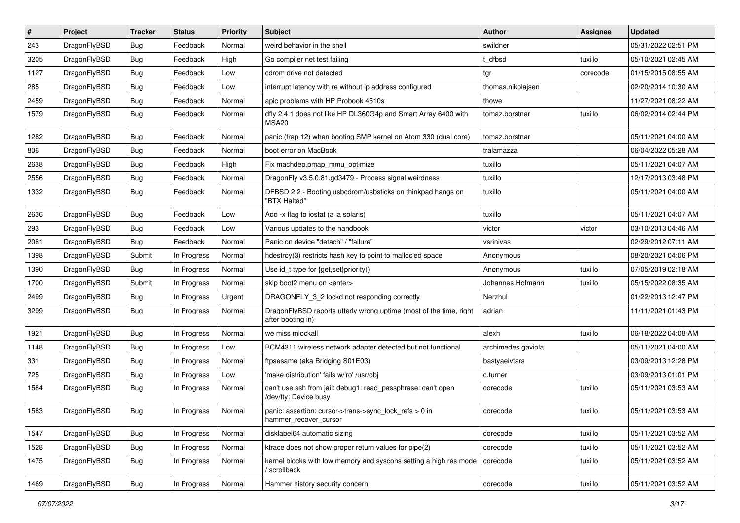| $\vert$ # | Project      | <b>Tracker</b> | <b>Status</b> | <b>Priority</b> | Subject                                                                                       | <b>Author</b>      | Assignee | <b>Updated</b>      |
|-----------|--------------|----------------|---------------|-----------------|-----------------------------------------------------------------------------------------------|--------------------|----------|---------------------|
| 243       | DragonFlyBSD | <b>Bug</b>     | Feedback      | Normal          | weird behavior in the shell                                                                   | swildner           |          | 05/31/2022 02:51 PM |
| 3205      | DragonFlyBSD | <b>Bug</b>     | Feedback      | High            | Go compiler net test failing                                                                  | dfbsd              | tuxillo  | 05/10/2021 02:45 AM |
| 1127      | DragonFlyBSD | <b>Bug</b>     | Feedback      | Low             | cdrom drive not detected                                                                      | tgr                | corecode | 01/15/2015 08:55 AM |
| 285       | DragonFlyBSD | <b>Bug</b>     | Feedback      | Low             | interrupt latency with re without ip address configured                                       | thomas.nikolajsen  |          | 02/20/2014 10:30 AM |
| 2459      | DragonFlyBSD | <b>Bug</b>     | Feedback      | Normal          | apic problems with HP Probook 4510s                                                           | thowe              |          | 11/27/2021 08:22 AM |
| 1579      | DragonFlyBSD | Bug            | Feedback      | Normal          | dfly 2.4.1 does not like HP DL360G4p and Smart Array 6400 with<br>MSA <sub>20</sub>           | tomaz.borstnar     | tuxillo  | 06/02/2014 02:44 PM |
| 1282      | DragonFlyBSD | <b>Bug</b>     | Feedback      | Normal          | panic (trap 12) when booting SMP kernel on Atom 330 (dual core)                               | tomaz.borstnar     |          | 05/11/2021 04:00 AM |
| 806       | DragonFlyBSD | <b>Bug</b>     | Feedback      | Normal          | boot error on MacBook                                                                         | tralamazza         |          | 06/04/2022 05:28 AM |
| 2638      | DragonFlyBSD | Bug            | Feedback      | High            | Fix machdep.pmap_mmu_optimize                                                                 | tuxillo            |          | 05/11/2021 04:07 AM |
| 2556      | DragonFlyBSD | <b>Bug</b>     | Feedback      | Normal          | DragonFly v3.5.0.81.gd3479 - Process signal weirdness                                         | tuxillo            |          | 12/17/2013 03:48 PM |
| 1332      | DragonFlyBSD | Bug            | Feedback      | Normal          | DFBSD 2.2 - Booting usbcdrom/usbsticks on thinkpad hangs on<br>"BTX Halted"                   | tuxillo            |          | 05/11/2021 04:00 AM |
| 2636      | DragonFlyBSD | <b>Bug</b>     | Feedback      | Low             | Add -x flag to iostat (a la solaris)                                                          | tuxillo            |          | 05/11/2021 04:07 AM |
| 293       | DragonFlyBSD | Bug            | Feedback      | Low             | Various updates to the handbook                                                               | victor             | victor   | 03/10/2013 04:46 AM |
| 2081      | DragonFlyBSD | <b>Bug</b>     | Feedback      | Normal          | Panic on device "detach" / "failure"                                                          | vsrinivas          |          | 02/29/2012 07:11 AM |
| 1398      | DragonFlyBSD | Submit         | In Progress   | Normal          | hdestroy(3) restricts hash key to point to malloc'ed space                                    | Anonymous          |          | 08/20/2021 04:06 PM |
| 1390      | DragonFlyBSD | Bug            | In Progress   | Normal          | Use id_t type for {get,set}priority()                                                         | Anonymous          | tuxillo  | 07/05/2019 02:18 AM |
| 1700      | DragonFlyBSD | Submit         | In Progress   | Normal          | skip boot2 menu on <enter></enter>                                                            | Johannes.Hofmann   | tuxillo  | 05/15/2022 08:35 AM |
| 2499      | DragonFlyBSD | Bug            | In Progress   | Urgent          | DRAGONFLY_3_2 lockd not responding correctly                                                  | Nerzhul            |          | 01/22/2013 12:47 PM |
| 3299      | DragonFlyBSD | Bug            | In Progress   | Normal          | DragonFlyBSD reports utterly wrong uptime (most of the time, right<br>after booting in)       | adrian             |          | 11/11/2021 01:43 PM |
| 1921      | DragonFlyBSD | <b>Bug</b>     | In Progress   | Normal          | we miss mlockall                                                                              | alexh              | tuxillo  | 06/18/2022 04:08 AM |
| 1148      | DragonFlyBSD | <b>Bug</b>     | In Progress   | Low             | BCM4311 wireless network adapter detected but not functional                                  | archimedes.gaviola |          | 05/11/2021 04:00 AM |
| 331       | DragonFlyBSD | <b>Bug</b>     | In Progress   | Normal          | ftpsesame (aka Bridging S01E03)                                                               | bastyaelvtars      |          | 03/09/2013 12:28 PM |
| 725       | DragonFlyBSD | <b>Bug</b>     | In Progress   | Low             | 'make distribution' fails w/'ro' /usr/obj                                                     | c.turner           |          | 03/09/2013 01:01 PM |
| 1584      | DragonFlyBSD | Bug            | In Progress   | Normal          | can't use ssh from jail: debug1: read_passphrase: can't open<br>/dev/tty: Device busy         | corecode           | tuxillo  | 05/11/2021 03:53 AM |
| 1583      | DragonFlyBSD | Bug            | In Progress   | Normal          | panic: assertion: cursor- $\gt$ trans- $\gt$ sync lock refs $> 0$ in<br>hammer_recover_cursor | corecode           | tuxillo  | 05/11/2021 03:53 AM |
| 1547      | DragonFlyBSD | <b>Bug</b>     | In Progress   | Normal          | disklabel64 automatic sizing                                                                  | corecode           | tuxillo  | 05/11/2021 03:52 AM |
| 1528      | DragonFlyBSD | <b>Bug</b>     | In Progress   | Normal          | ktrace does not show proper return values for pipe(2)                                         | corecode           | tuxillo  | 05/11/2021 03:52 AM |
| 1475      | DragonFlyBSD | <b>Bug</b>     | In Progress   | Normal          | kernel blocks with low memory and syscons setting a high res mode<br>scrollback               | corecode           | tuxillo  | 05/11/2021 03:52 AM |
| 1469      | DragonFlyBSD | <b>Bug</b>     | In Progress   | Normal          | Hammer history security concern                                                               | corecode           | tuxillo  | 05/11/2021 03:52 AM |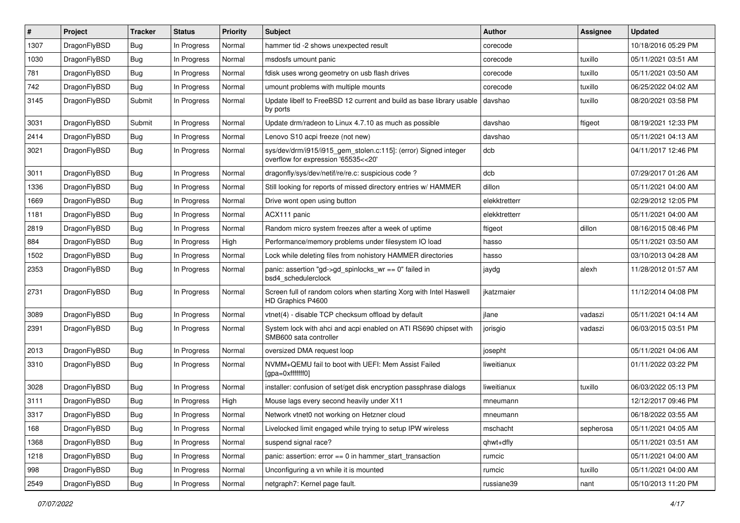| #    | Project      | <b>Tracker</b> | <b>Status</b> | <b>Priority</b> | <b>Subject</b>                                                                                         | Author        | Assignee  | <b>Updated</b>      |
|------|--------------|----------------|---------------|-----------------|--------------------------------------------------------------------------------------------------------|---------------|-----------|---------------------|
| 1307 | DragonFlyBSD | <b>Bug</b>     | In Progress   | Normal          | hammer tid -2 shows unexpected result                                                                  | corecode      |           | 10/18/2016 05:29 PM |
| 1030 | DragonFlyBSD | <b>Bug</b>     | In Progress   | Normal          | msdosfs umount panic                                                                                   | corecode      | tuxillo   | 05/11/2021 03:51 AM |
| 781  | DragonFlyBSD | <b>Bug</b>     | In Progress   | Normal          | fdisk uses wrong geometry on usb flash drives                                                          | corecode      | tuxillo   | 05/11/2021 03:50 AM |
| 742  | DragonFlyBSD | Bug            | In Progress   | Normal          | umount problems with multiple mounts                                                                   | corecode      | tuxillo   | 06/25/2022 04:02 AM |
| 3145 | DragonFlyBSD | Submit         | In Progress   | Normal          | Update libelf to FreeBSD 12 current and build as base library usable<br>by ports                       | davshao       | tuxillo   | 08/20/2021 03:58 PM |
| 3031 | DragonFlyBSD | Submit         | In Progress   | Normal          | Update drm/radeon to Linux 4.7.10 as much as possible                                                  | davshao       | ftigeot   | 08/19/2021 12:33 PM |
| 2414 | DragonFlyBSD | <b>Bug</b>     | In Progress   | Normal          | Lenovo S10 acpi freeze (not new)                                                                       | davshao       |           | 05/11/2021 04:13 AM |
| 3021 | DragonFlyBSD | Bug            | In Progress   | Normal          | sys/dev/drm/i915/i915_gem_stolen.c:115]: (error) Signed integer<br>overflow for expression '65535<<20' | dcb           |           | 04/11/2017 12:46 PM |
| 3011 | DragonFlyBSD | <b>Bug</b>     | In Progress   | Normal          | dragonfly/sys/dev/netif/re/re.c: suspicious code?                                                      | dcb           |           | 07/29/2017 01:26 AM |
| 1336 | DragonFlyBSD | Bug            | In Progress   | Normal          | Still looking for reports of missed directory entries w/ HAMMER                                        | dillon        |           | 05/11/2021 04:00 AM |
| 1669 | DragonFlyBSD | <b>Bug</b>     | In Progress   | Normal          | Drive wont open using button                                                                           | elekktretterr |           | 02/29/2012 12:05 PM |
| 1181 | DragonFlyBSD | <b>Bug</b>     | In Progress   | Normal          | ACX111 panic                                                                                           | elekktretterr |           | 05/11/2021 04:00 AM |
| 2819 | DragonFlyBSD | Bug            | In Progress   | Normal          | Random micro system freezes after a week of uptime                                                     | ftigeot       | dillon    | 08/16/2015 08:46 PM |
| 884  | DragonFlyBSD | <b>Bug</b>     | In Progress   | High            | Performance/memory problems under filesystem IO load                                                   | hasso         |           | 05/11/2021 03:50 AM |
| 1502 | DragonFlyBSD | Bug            | In Progress   | Normal          | Lock while deleting files from nohistory HAMMER directories                                            | hasso         |           | 03/10/2013 04:28 AM |
| 2353 | DragonFlyBSD | Bug            | In Progress   | Normal          | panic: assertion "gd->gd_spinlocks_wr == 0" failed in<br>bsd4 schedulerclock                           | jaydg         | alexh     | 11/28/2012 01:57 AM |
| 2731 | DragonFlyBSD | Bug            | In Progress   | Normal          | Screen full of random colors when starting Xorg with Intel Haswell<br>HD Graphics P4600                | jkatzmaier    |           | 11/12/2014 04:08 PM |
| 3089 | DragonFlyBSD | <b>Bug</b>     | In Progress   | Normal          | vtnet(4) - disable TCP checksum offload by default                                                     | jlane         | vadaszi   | 05/11/2021 04:14 AM |
| 2391 | DragonFlyBSD | <b>Bug</b>     | In Progress   | Normal          | System lock with ahci and acpi enabled on ATI RS690 chipset with<br>SMB600 sata controller             | jorisgio      | vadaszi   | 06/03/2015 03:51 PM |
| 2013 | DragonFlyBSD | <b>Bug</b>     | In Progress   | Normal          | oversized DMA request loop                                                                             | josepht       |           | 05/11/2021 04:06 AM |
| 3310 | DragonFlyBSD | Bug            | In Progress   | Normal          | NVMM+QEMU fail to boot with UEFI: Mem Assist Failed<br>[gpa=0xfffffff0]                                | liweitianux   |           | 01/11/2022 03:22 PM |
| 3028 | DragonFlyBSD | Bug            | In Progress   | Normal          | installer: confusion of set/get disk encryption passphrase dialogs                                     | liweitianux   | tuxillo   | 06/03/2022 05:13 PM |
| 3111 | DragonFlyBSD | <b>Bug</b>     | In Progress   | High            | Mouse lags every second heavily under X11                                                              | mneumann      |           | 12/12/2017 09:46 PM |
| 3317 | DragonFlyBSD | Bug            | In Progress   | Normal          | Network vtnet0 not working on Hetzner cloud                                                            | mneumann      |           | 06/18/2022 03:55 AM |
| 168  | DragonFlyBSD | Bug            | In Progress   | Normal          | Livelocked limit engaged while trying to setup IPW wireless                                            | mschacht      | sepherosa | 05/11/2021 04:05 AM |
| 1368 | DragonFlyBSD | <b>Bug</b>     | In Progress   | Normal          | suspend signal race?                                                                                   | qhwt+dfly     |           | 05/11/2021 03:51 AM |
| 1218 | DragonFlyBSD | <b>Bug</b>     | In Progress   | Normal          | panic: assertion: error == 0 in hammer_start_transaction                                               | rumcic        |           | 05/11/2021 04:00 AM |
| 998  | DragonFlyBSD | Bug            | In Progress   | Normal          | Unconfiguring a vn while it is mounted                                                                 | rumcic        | tuxillo   | 05/11/2021 04:00 AM |
| 2549 | DragonFlyBSD | <b>Bug</b>     | In Progress   | Normal          | netgraph7: Kernel page fault.                                                                          | russiane39    | nant      | 05/10/2013 11:20 PM |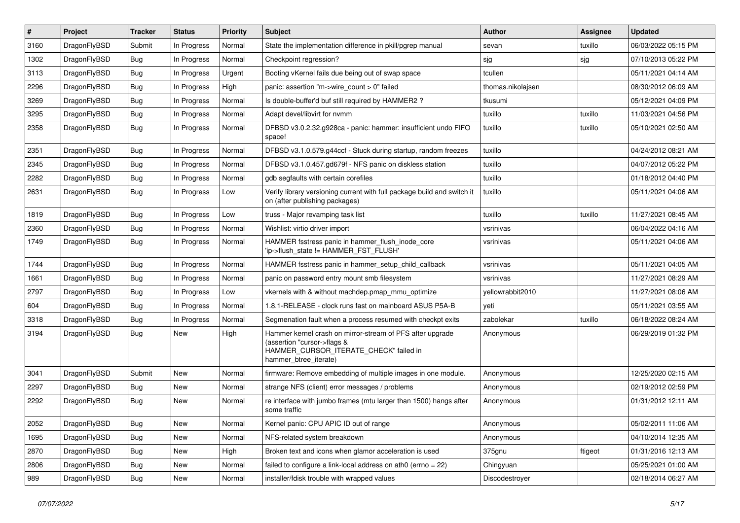| #    | Project      | <b>Tracker</b> | <b>Status</b> | <b>Priority</b> | Subject                                                                                                                                                     | <b>Author</b>     | Assignee | <b>Updated</b>      |
|------|--------------|----------------|---------------|-----------------|-------------------------------------------------------------------------------------------------------------------------------------------------------------|-------------------|----------|---------------------|
| 3160 | DragonFlyBSD | Submit         | In Progress   | Normal          | State the implementation difference in pkill/pgrep manual                                                                                                   | sevan             | tuxillo  | 06/03/2022 05:15 PM |
| 1302 | DragonFlyBSD | <b>Bug</b>     | In Progress   | Normal          | Checkpoint regression?                                                                                                                                      | sjg               | sjg      | 07/10/2013 05:22 PM |
| 3113 | DragonFlyBSD | <b>Bug</b>     | In Progress   | Urgent          | Booting vKernel fails due being out of swap space                                                                                                           | tcullen           |          | 05/11/2021 04:14 AM |
| 2296 | DragonFlyBSD | <b>Bug</b>     | In Progress   | High            | panic: assertion "m->wire count > 0" failed                                                                                                                 | thomas.nikolajsen |          | 08/30/2012 06:09 AM |
| 3269 | DragonFlyBSD | <b>Bug</b>     | In Progress   | Normal          | Is double-buffer'd buf still required by HAMMER2 ?                                                                                                          | tkusumi           |          | 05/12/2021 04:09 PM |
| 3295 | DragonFlyBSD | <b>Bug</b>     | In Progress   | Normal          | Adapt devel/libvirt for nvmm                                                                                                                                | tuxillo           | tuxillo  | 11/03/2021 04:56 PM |
| 2358 | DragonFlyBSD | <b>Bug</b>     | In Progress   | Normal          | DFBSD v3.0.2.32.g928ca - panic: hammer: insufficient undo FIFO<br>space!                                                                                    | tuxillo           | tuxillo  | 05/10/2021 02:50 AM |
| 2351 | DragonFlyBSD | <b>Bug</b>     | In Progress   | Normal          | DFBSD v3.1.0.579.g44ccf - Stuck during startup, random freezes                                                                                              | tuxillo           |          | 04/24/2012 08:21 AM |
| 2345 | DragonFlyBSD | <b>Bug</b>     | In Progress   | Normal          | DFBSD v3.1.0.457.gd679f - NFS panic on diskless station                                                                                                     | tuxillo           |          | 04/07/2012 05:22 PM |
| 2282 | DragonFlyBSD | <b>Bug</b>     | In Progress   | Normal          | gdb segfaults with certain corefiles                                                                                                                        | tuxillo           |          | 01/18/2012 04:40 PM |
| 2631 | DragonFlyBSD | <b>Bug</b>     | In Progress   | Low             | Verify library versioning current with full package build and switch it<br>on (after publishing packages)                                                   | tuxillo           |          | 05/11/2021 04:06 AM |
| 1819 | DragonFlyBSD | <b>Bug</b>     | In Progress   | Low             | truss - Major revamping task list                                                                                                                           | tuxillo           | tuxillo  | 11/27/2021 08:45 AM |
| 2360 | DragonFlyBSD | <b>Bug</b>     | In Progress   | Normal          | Wishlist: virtio driver import                                                                                                                              | vsrinivas         |          | 06/04/2022 04:16 AM |
| 1749 | DragonFlyBSD | <b>Bug</b>     | In Progress   | Normal          | HAMMER fsstress panic in hammer_flush_inode_core<br>'ip->flush_state != HAMMER_FST_FLUSH'                                                                   | vsrinivas         |          | 05/11/2021 04:06 AM |
| 1744 | DragonFlyBSD | <b>Bug</b>     | In Progress   | Normal          | HAMMER fsstress panic in hammer_setup_child_callback                                                                                                        | vsrinivas         |          | 05/11/2021 04:05 AM |
| 1661 | DragonFlyBSD | <b>Bug</b>     | In Progress   | Normal          | panic on password entry mount smb filesystem                                                                                                                | vsrinivas         |          | 11/27/2021 08:29 AM |
| 2797 | DragonFlyBSD | <b>Bug</b>     | In Progress   | Low             | vkernels with & without machdep.pmap_mmu_optimize                                                                                                           | yellowrabbit2010  |          | 11/27/2021 08:06 AM |
| 604  | DragonFlyBSD | <b>Bug</b>     | In Progress   | Normal          | 1.8.1-RELEASE - clock runs fast on mainboard ASUS P5A-B                                                                                                     | yeti              |          | 05/11/2021 03:55 AM |
| 3318 | DragonFlyBSD | <b>Bug</b>     | In Progress   | Normal          | Segmenation fault when a process resumed with checkpt exits                                                                                                 | zabolekar         | tuxillo  | 06/18/2022 08:24 AM |
| 3194 | DragonFlyBSD | <b>Bug</b>     | New           | High            | Hammer kernel crash on mirror-stream of PFS after upgrade<br>(assertion "cursor->flags &<br>HAMMER_CURSOR_ITERATE_CHECK" failed in<br>hammer_btree_iterate) | Anonymous         |          | 06/29/2019 01:32 PM |
| 3041 | DragonFlyBSD | Submit         | New           | Normal          | firmware: Remove embedding of multiple images in one module.                                                                                                | Anonymous         |          | 12/25/2020 02:15 AM |
| 2297 | DragonFlyBSD | <b>Bug</b>     | New           | Normal          | strange NFS (client) error messages / problems                                                                                                              | Anonymous         |          | 02/19/2012 02:59 PM |
| 2292 | DragonFlyBSD | Bug            | New           | Normal          | re interface with jumbo frames (mtu larger than 1500) hangs after<br>some traffic                                                                           | Anonymous         |          | 01/31/2012 12:11 AM |
| 2052 | DragonFlyBSD | <b>Bug</b>     | New           | Normal          | Kernel panic: CPU APIC ID out of range                                                                                                                      | Anonymous         |          | 05/02/2011 11:06 AM |
| 1695 | DragonFlyBSD | <b>Bug</b>     | New           | Normal          | NFS-related system breakdown                                                                                                                                | Anonymous         |          | 04/10/2014 12:35 AM |
| 2870 | DragonFlyBSD | <b>Bug</b>     | New           | High            | Broken text and icons when glamor acceleration is used                                                                                                      | 375gnu            | ftigeot  | 01/31/2016 12:13 AM |
| 2806 | DragonFlyBSD | <b>Bug</b>     | <b>New</b>    | Normal          | failed to configure a link-local address on ath0 (errno = 22)                                                                                               | Chingyuan         |          | 05/25/2021 01:00 AM |
| 989  | DragonFlyBSD | <b>Bug</b>     | New           | Normal          | installer/fdisk trouble with wrapped values                                                                                                                 | Discodestroyer    |          | 02/18/2014 06:27 AM |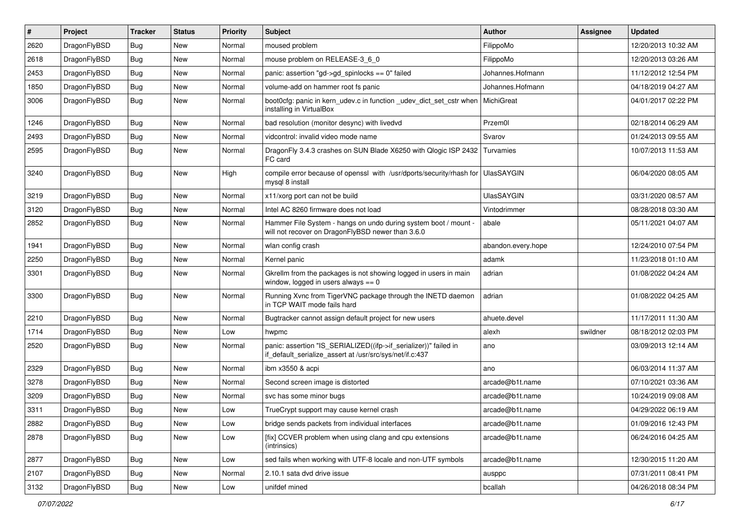| #    | Project      | <b>Tracker</b> | <b>Status</b> | <b>Priority</b> | Subject                                                                                                                      | Author             | Assignee | <b>Updated</b>      |
|------|--------------|----------------|---------------|-----------------|------------------------------------------------------------------------------------------------------------------------------|--------------------|----------|---------------------|
| 2620 | DragonFlyBSD | <b>Bug</b>     | New           | Normal          | moused problem                                                                                                               | FilippoMo          |          | 12/20/2013 10:32 AM |
| 2618 | DragonFlyBSD | <b>Bug</b>     | New           | Normal          | mouse problem on RELEASE-3_6_0                                                                                               | FilippoMo          |          | 12/20/2013 03:26 AM |
| 2453 | DragonFlyBSD | <b>Bug</b>     | New           | Normal          | panic: assertion "gd->gd_spinlocks == 0" failed                                                                              | Johannes.Hofmann   |          | 11/12/2012 12:54 PM |
| 1850 | DragonFlyBSD | <b>Bug</b>     | New           | Normal          | volume-add on hammer root fs panic                                                                                           | Johannes.Hofmann   |          | 04/18/2019 04:27 AM |
| 3006 | DragonFlyBSD | <b>Bug</b>     | <b>New</b>    | Normal          | boot0cfg: panic in kern_udev.c in function _udev_dict_set_cstr when<br>installing in VirtualBox                              | MichiGreat         |          | 04/01/2017 02:22 PM |
| 1246 | DragonFlyBSD | <b>Bug</b>     | <b>New</b>    | Normal          | bad resolution (monitor desync) with livedvd                                                                                 | Przem0l            |          | 02/18/2014 06:29 AM |
| 2493 | DragonFlyBSD | <b>Bug</b>     | <b>New</b>    | Normal          | vidcontrol: invalid video mode name                                                                                          | Svarov             |          | 01/24/2013 09:55 AM |
| 2595 | DragonFlyBSD | <b>Bug</b>     | New           | Normal          | DragonFly 3.4.3 crashes on SUN Blade X6250 with Qlogic ISP 2432<br>FC card                                                   | Turvamies          |          | 10/07/2013 11:53 AM |
| 3240 | DragonFlyBSD | <b>Bug</b>     | New           | High            | compile error because of openssl with /usr/dports/security/rhash for<br>mysql 8 install                                      | <b>UlasSAYGIN</b>  |          | 06/04/2020 08:05 AM |
| 3219 | DragonFlyBSD | <b>Bug</b>     | New           | Normal          | x11/xorg port can not be build                                                                                               | <b>UlasSAYGIN</b>  |          | 03/31/2020 08:57 AM |
| 3120 | DragonFlyBSD | <b>Bug</b>     | New           | Normal          | Intel AC 8260 firmware does not load                                                                                         | Vintodrimmer       |          | 08/28/2018 03:30 AM |
| 2852 | DragonFlyBSD | Bug            | New           | Normal          | Hammer File System - hangs on undo during system boot / mount -<br>will not recover on DragonFlyBSD newer than 3.6.0         | abale              |          | 05/11/2021 04:07 AM |
| 1941 | DragonFlyBSD | <b>Bug</b>     | New           | Normal          | wlan config crash                                                                                                            | abandon.every.hope |          | 12/24/2010 07:54 PM |
| 2250 | DragonFlyBSD | <b>Bug</b>     | New           | Normal          | Kernel panic                                                                                                                 | adamk              |          | 11/23/2018 01:10 AM |
| 3301 | DragonFlyBSD | <b>Bug</b>     | <b>New</b>    | Normal          | Gkrellm from the packages is not showing logged in users in main<br>window, logged in users always $== 0$                    | adrian             |          | 01/08/2022 04:24 AM |
| 3300 | DragonFlyBSD | Bug            | New           | Normal          | Running Xvnc from TigerVNC package through the INETD daemon<br>in TCP WAIT mode fails hard                                   | adrian             |          | 01/08/2022 04:25 AM |
| 2210 | DragonFlyBSD | <b>Bug</b>     | <b>New</b>    | Normal          | Bugtracker cannot assign default project for new users                                                                       | ahuete.devel       |          | 11/17/2011 11:30 AM |
| 1714 | DragonFlyBSD | <b>Bug</b>     | New           | Low             | hwpmc                                                                                                                        | alexh              | swildner | 08/18/2012 02:03 PM |
| 2520 | DragonFlyBSD | <b>Bug</b>     | <b>New</b>    | Normal          | panic: assertion "IS_SERIALIZED((ifp->if_serializer))" failed in<br>if_default_serialize_assert at /usr/src/sys/net/if.c:437 | ano                |          | 03/09/2013 12:14 AM |
| 2329 | DragonFlyBSD | <b>Bug</b>     | <b>New</b>    | Normal          | ibm x3550 & acpi                                                                                                             | ano                |          | 06/03/2014 11:37 AM |
| 3278 | DragonFlyBSD | <b>Bug</b>     | <b>New</b>    | Normal          | Second screen image is distorted                                                                                             | arcade@b1t.name    |          | 07/10/2021 03:36 AM |
| 3209 | DragonFlyBSD | <b>Bug</b>     | New           | Normal          | svc has some minor bugs                                                                                                      | arcade@b1t.name    |          | 10/24/2019 09:08 AM |
| 3311 | DragonFlyBSD | <b>Bug</b>     | New           | Low             | TrueCrypt support may cause kernel crash                                                                                     | arcade@b1t.name    |          | 04/29/2022 06:19 AM |
| 2882 | DragonFlyBSD | <b>Bug</b>     | New           | Low             | bridge sends packets from individual interfaces                                                                              | arcade@b1t.name    |          | 01/09/2016 12:43 PM |
| 2878 | DragonFlyBSD | <b>Bug</b>     | New           | Low             | [fix] CCVER problem when using clang and cpu extensions<br>(intrinsics)                                                      | arcade@b1t.name    |          | 06/24/2016 04:25 AM |
| 2877 | DragonFlyBSD | <b>Bug</b>     | New           | Low             | sed fails when working with UTF-8 locale and non-UTF symbols                                                                 | arcade@b1t.name    |          | 12/30/2015 11:20 AM |
| 2107 | DragonFlyBSD | <b>Bug</b>     | New           | Normal          | 2.10.1 sata dvd drive issue                                                                                                  | ausppc             |          | 07/31/2011 08:41 PM |
| 3132 | DragonFlyBSD | Bug            | New           | Low             | unifdef mined                                                                                                                | bcallah            |          | 04/26/2018 08:34 PM |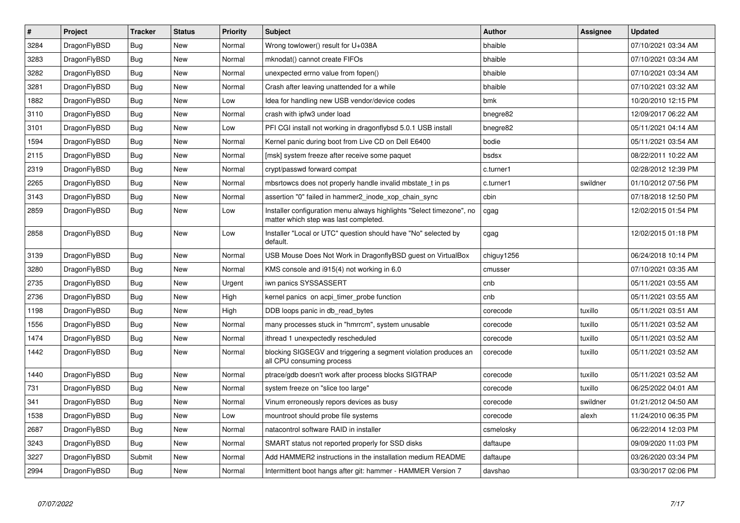| $\vert$ # | Project      | <b>Tracker</b> | <b>Status</b> | <b>Priority</b> | <b>Subject</b>                                                                                                | Author     | Assignee | <b>Updated</b>      |
|-----------|--------------|----------------|---------------|-----------------|---------------------------------------------------------------------------------------------------------------|------------|----------|---------------------|
| 3284      | DragonFlyBSD | <b>Bug</b>     | New           | Normal          | Wrong towlower() result for U+038A                                                                            | bhaible    |          | 07/10/2021 03:34 AM |
| 3283      | DragonFlyBSD | Bug            | <b>New</b>    | Normal          | mknodat() cannot create FIFOs                                                                                 | bhaible    |          | 07/10/2021 03:34 AM |
| 3282      | DragonFlyBSD | <b>Bug</b>     | <b>New</b>    | Normal          | unexpected errno value from fopen()                                                                           | bhaible    |          | 07/10/2021 03:34 AM |
| 3281      | DragonFlyBSD | Bug            | New           | Normal          | Crash after leaving unattended for a while                                                                    | bhaible    |          | 07/10/2021 03:32 AM |
| 1882      | DragonFlyBSD | <b>Bug</b>     | <b>New</b>    | Low             | Idea for handling new USB vendor/device codes                                                                 | bmk        |          | 10/20/2010 12:15 PM |
| 3110      | DragonFlyBSD | Bug            | <b>New</b>    | Normal          | crash with ipfw3 under load                                                                                   | bnegre82   |          | 12/09/2017 06:22 AM |
| 3101      | DragonFlyBSD | Bug            | New           | Low             | PFI CGI install not working in dragonflybsd 5.0.1 USB install                                                 | bnegre82   |          | 05/11/2021 04:14 AM |
| 1594      | DragonFlyBSD | <b>Bug</b>     | New           | Normal          | Kernel panic during boot from Live CD on Dell E6400                                                           | bodie      |          | 05/11/2021 03:54 AM |
| 2115      | DragonFlyBSD | Bug            | New           | Normal          | [msk] system freeze after receive some paquet                                                                 | bsdsx      |          | 08/22/2011 10:22 AM |
| 2319      | DragonFlyBSD | <b>Bug</b>     | <b>New</b>    | Normal          | crypt/passwd forward compat                                                                                   | c.turner1  |          | 02/28/2012 12:39 PM |
| 2265      | DragonFlyBSD | <b>Bug</b>     | New           | Normal          | mbsrtowcs does not properly handle invalid mbstate t in ps.                                                   | c.turner1  | swildner | 01/10/2012 07:56 PM |
| 3143      | DragonFlyBSD | <b>Bug</b>     | New           | Normal          | assertion "0" failed in hammer2_inode_xop_chain_sync                                                          | cbin       |          | 07/18/2018 12:50 PM |
| 2859      | DragonFlyBSD | Bug            | New           | Low             | Installer configuration menu always highlights "Select timezone", no<br>matter which step was last completed. | cgag       |          | 12/02/2015 01:54 PM |
| 2858      | DragonFlyBSD | <b>Bug</b>     | New           | Low             | Installer "Local or UTC" question should have "No" selected by<br>default.                                    | cgag       |          | 12/02/2015 01:18 PM |
| 3139      | DragonFlyBSD | Bug            | <b>New</b>    | Normal          | USB Mouse Does Not Work in DragonflyBSD guest on VirtualBox                                                   | chiguy1256 |          | 06/24/2018 10:14 PM |
| 3280      | DragonFlyBSD | <b>Bug</b>     | <b>New</b>    | Normal          | KMS console and i915(4) not working in 6.0                                                                    | cmusser    |          | 07/10/2021 03:35 AM |
| 2735      | DragonFlyBSD | Bug            | <b>New</b>    | Urgent          | iwn panics SYSSASSERT                                                                                         | cnb        |          | 05/11/2021 03:55 AM |
| 2736      | DragonFlyBSD | <b>Bug</b>     | New           | High            | kernel panics on acpi_timer_probe function                                                                    | cnb        |          | 05/11/2021 03:55 AM |
| 1198      | DragonFlyBSD | Bug            | New           | High            | DDB loops panic in db read bytes                                                                              | corecode   | tuxillo  | 05/11/2021 03:51 AM |
| 1556      | DragonFlyBSD | <b>Bug</b>     | New           | Normal          | many processes stuck in "hmrrcm", system unusable                                                             | corecode   | tuxillo  | 05/11/2021 03:52 AM |
| 1474      | DragonFlyBSD | Bug            | New           | Normal          | ithread 1 unexpectedly rescheduled                                                                            | corecode   | tuxillo  | 05/11/2021 03:52 AM |
| 1442      | DragonFlyBSD | <b>Bug</b>     | New           | Normal          | blocking SIGSEGV and triggering a segment violation produces an<br>all CPU consuming process                  | corecode   | tuxillo  | 05/11/2021 03:52 AM |
| 1440      | DragonFlyBSD | <b>Bug</b>     | New           | Normal          | ptrace/gdb doesn't work after process blocks SIGTRAP                                                          | corecode   | tuxillo  | 05/11/2021 03:52 AM |
| 731       | DragonFlyBSD | <b>Bug</b>     | New           | Normal          | system freeze on "slice too large"                                                                            | corecode   | tuxillo  | 06/25/2022 04:01 AM |
| 341       | DragonFlyBSD | Bug            | New           | Normal          | Vinum erroneously repors devices as busy                                                                      | corecode   | swildner | 01/21/2012 04:50 AM |
| 1538      | DragonFlyBSD | <b>Bug</b>     | <b>New</b>    | Low             | mountroot should probe file systems                                                                           | corecode   | alexh    | 11/24/2010 06:35 PM |
| 2687      | DragonFlyBSD | Bug            | <b>New</b>    | Normal          | natacontrol software RAID in installer                                                                        | csmelosky  |          | 06/22/2014 12:03 PM |
| 3243      | DragonFlyBSD | Bug            | New           | Normal          | SMART status not reported properly for SSD disks                                                              | daftaupe   |          | 09/09/2020 11:03 PM |
| 3227      | DragonFlyBSD | Submit         | <b>New</b>    | Normal          | Add HAMMER2 instructions in the installation medium README                                                    | daftaupe   |          | 03/26/2020 03:34 PM |
| 2994      | DragonFlyBSD | <b>Bug</b>     | <b>New</b>    | Normal          | Intermittent boot hangs after git: hammer - HAMMER Version 7                                                  | davshao    |          | 03/30/2017 02:06 PM |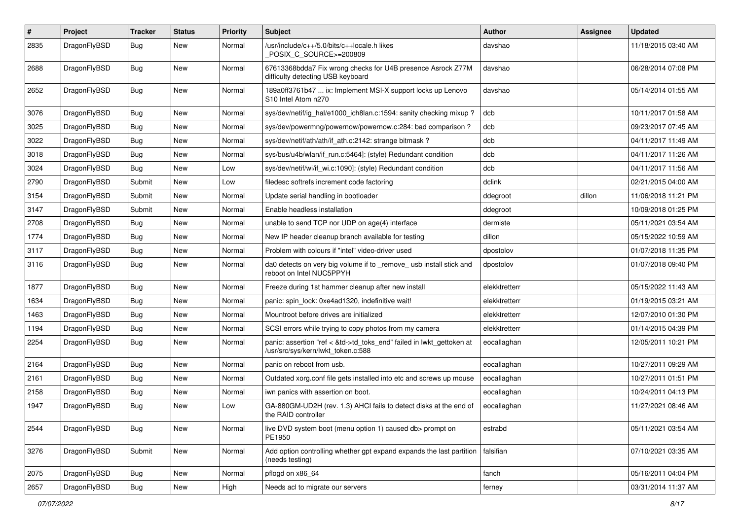| $\sharp$ | Project      | <b>Tracker</b> | <b>Status</b> | <b>Priority</b> | <b>Subject</b>                                                                                             | <b>Author</b> | Assignee | <b>Updated</b>      |
|----------|--------------|----------------|---------------|-----------------|------------------------------------------------------------------------------------------------------------|---------------|----------|---------------------|
| 2835     | DragonFlyBSD | Bug            | New           | Normal          | /usr/include/c++/5.0/bits/c++locale.h likes<br>POSIX C_SOURCE>=200809                                      | davshao       |          | 11/18/2015 03:40 AM |
| 2688     | DragonFlyBSD | Bug            | New           | Normal          | 67613368bdda7 Fix wrong checks for U4B presence Asrock Z77M<br>difficulty detecting USB keyboard           | davshao       |          | 06/28/2014 07:08 PM |
| 2652     | DragonFlyBSD | Bug            | <b>New</b>    | Normal          | 189a0ff3761b47  ix: Implement MSI-X support locks up Lenovo<br>S10 Intel Atom n270                         | davshao       |          | 05/14/2014 01:55 AM |
| 3076     | DragonFlyBSD | Bug            | <b>New</b>    | Normal          | sys/dev/netif/ig_hal/e1000_ich8lan.c:1594: sanity checking mixup?                                          | dcb           |          | 10/11/2017 01:58 AM |
| 3025     | DragonFlyBSD | <b>Bug</b>     | New           | Normal          | sys/dev/powermng/powernow/powernow.c:284: bad comparison?                                                  | dcb           |          | 09/23/2017 07:45 AM |
| 3022     | DragonFlyBSD | <b>Bug</b>     | New           | Normal          | sys/dev/netif/ath/ath/if_ath.c:2142: strange bitmask?                                                      | dcb           |          | 04/11/2017 11:49 AM |
| 3018     | DragonFlyBSD | Bug            | <b>New</b>    | Normal          | sys/bus/u4b/wlan/if_run.c:5464]: (style) Redundant condition                                               | dcb           |          | 04/11/2017 11:26 AM |
| 3024     | DragonFlyBSD | Bug            | New           | Low             | sys/dev/netif/wi/if wi.c:1090]: (style) Redundant condition                                                | dcb           |          | 04/11/2017 11:56 AM |
| 2790     | DragonFlyBSD | Submit         | New           | Low             | filedesc softrefs increment code factoring                                                                 | dclink        |          | 02/21/2015 04:00 AM |
| 3154     | DragonFlyBSD | Submit         | New           | Normal          | Update serial handling in bootloader                                                                       | ddegroot      | dillon   | 11/06/2018 11:21 PM |
| 3147     | DragonFlyBSD | Submit         | New           | Normal          | Enable headless installation                                                                               | ddegroot      |          | 10/09/2018 01:25 PM |
| 2708     | DragonFlyBSD | <b>Bug</b>     | <b>New</b>    | Normal          | unable to send TCP nor UDP on age(4) interface                                                             | dermiste      |          | 05/11/2021 03:54 AM |
| 1774     | DragonFlyBSD | Bug            | New           | Normal          | New IP header cleanup branch available for testing                                                         | dillon        |          | 05/15/2022 10:59 AM |
| 3117     | DragonFlyBSD | <b>Bug</b>     | <b>New</b>    | Normal          | Problem with colours if "intel" video-driver used                                                          | dpostolov     |          | 01/07/2018 11:35 PM |
| 3116     | DragonFlyBSD | Bug            | <b>New</b>    | Normal          | da0 detects on very big volume if to _remove_ usb install stick and<br>reboot on Intel NUC5PPYH            | dpostolov     |          | 01/07/2018 09:40 PM |
| 1877     | DragonFlyBSD | Bug            | <b>New</b>    | Normal          | Freeze during 1st hammer cleanup after new install                                                         | elekktretterr |          | 05/15/2022 11:43 AM |
| 1634     | DragonFlyBSD | <b>Bug</b>     | New           | Normal          | panic: spin_lock: 0xe4ad1320, indefinitive wait!                                                           | elekktretterr |          | 01/19/2015 03:21 AM |
| 1463     | DragonFlyBSD | <b>Bug</b>     | New           | Normal          | Mountroot before drives are initialized                                                                    | elekktretterr |          | 12/07/2010 01:30 PM |
| 1194     | DragonFlyBSD | Bug            | <b>New</b>    | Normal          | SCSI errors while trying to copy photos from my camera                                                     | elekktretterr |          | 01/14/2015 04:39 PM |
| 2254     | DragonFlyBSD | <b>Bug</b>     | <b>New</b>    | Normal          | panic: assertion "ref < &td->td_toks_end" failed in lwkt_gettoken at<br>/usr/src/sys/kern/lwkt_token.c:588 | eocallaghan   |          | 12/05/2011 10:21 PM |
| 2164     | DragonFlyBSD | Bug            | <b>New</b>    | Normal          | panic on reboot from usb.                                                                                  | eocallaghan   |          | 10/27/2011 09:29 AM |
| 2161     | DragonFlyBSD | <b>Bug</b>     | New           | Normal          | Outdated xorg.conf file gets installed into etc and screws up mouse                                        | eocallaghan   |          | 10/27/2011 01:51 PM |
| 2158     | DragonFlyBSD | <b>Bug</b>     | <b>New</b>    | Normal          | iwn panics with assertion on boot.                                                                         | eocallaghan   |          | 10/24/2011 04:13 PM |
| 1947     | DragonFlyBSD | Bug            | New           | Low             | GA-880GM-UD2H (rev. 1.3) AHCI fails to detect disks at the end of<br>the RAID controller                   | eocallaghan   |          | 11/27/2021 08:46 AM |
| 2544     | DragonFlyBSD | <b>Bug</b>     | New           | Normal          | live DVD system boot (menu option 1) caused db> prompt on<br>PE1950                                        | estrabd       |          | 05/11/2021 03:54 AM |
| 3276     | DragonFlyBSD | Submit         | New           | Normal          | Add option controlling whether gpt expand expands the last partition<br>(needs testing)                    | falsifian     |          | 07/10/2021 03:35 AM |
| 2075     | DragonFlyBSD | Bug            | New           | Normal          | pflogd on x86_64                                                                                           | fanch         |          | 05/16/2011 04:04 PM |
| 2657     | DragonFlyBSD | <b>Bug</b>     | New           | High            | Needs acl to migrate our servers                                                                           | ferney        |          | 03/31/2014 11:37 AM |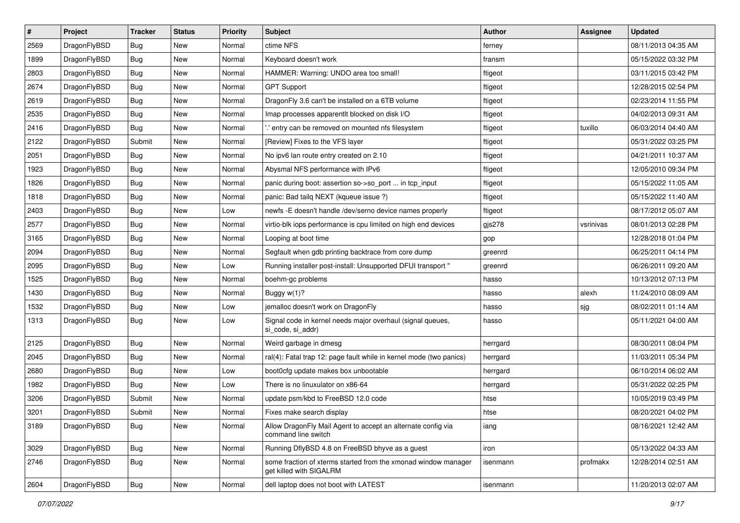| $\sharp$ | Project      | <b>Tracker</b> | <b>Status</b> | <b>Priority</b> | Subject                                                                                   | <b>Author</b> | Assignee  | <b>Updated</b>      |
|----------|--------------|----------------|---------------|-----------------|-------------------------------------------------------------------------------------------|---------------|-----------|---------------------|
| 2569     | DragonFlyBSD | Bug            | New           | Normal          | ctime NFS                                                                                 | ferney        |           | 08/11/2013 04:35 AM |
| 1899     | DragonFlyBSD | Bug            | <b>New</b>    | Normal          | Keyboard doesn't work                                                                     | fransm        |           | 05/15/2022 03:32 PM |
| 2803     | DragonFlyBSD | <b>Bug</b>     | <b>New</b>    | Normal          | HAMMER: Warning: UNDO area too small!                                                     | ftigeot       |           | 03/11/2015 03:42 PM |
| 2674     | DragonFlyBSD | <b>Bug</b>     | New           | Normal          | <b>GPT Support</b>                                                                        | ftigeot       |           | 12/28/2015 02:54 PM |
| 2619     | DragonFlyBSD | Bug            | <b>New</b>    | Normal          | DragonFly 3.6 can't be installed on a 6TB volume                                          | ftigeot       |           | 02/23/2014 11:55 PM |
| 2535     | DragonFlyBSD | <b>Bug</b>     | <b>New</b>    | Normal          | Imap processes apparentlt blocked on disk I/O                                             | ftigeot       |           | 04/02/2013 09:31 AM |
| 2416     | DragonFlyBSD | Bug            | New           | Normal          | ".' entry can be removed on mounted nfs filesystem                                        | ftigeot       | tuxillo   | 06/03/2014 04:40 AM |
| 2122     | DragonFlyBSD | Submit         | New           | Normal          | [Review] Fixes to the VFS layer                                                           | ftigeot       |           | 05/31/2022 03:25 PM |
| 2051     | DragonFlyBSD | Bug            | New           | Normal          | No ipv6 lan route entry created on 2.10                                                   | ftigeot       |           | 04/21/2011 10:37 AM |
| 1923     | DragonFlyBSD | Bug            | <b>New</b>    | Normal          | Abysmal NFS performance with IPv6                                                         | ftigeot       |           | 12/05/2010 09:34 PM |
| 1826     | DragonFlyBSD | Bug            | New           | Normal          | panic during boot: assertion so->so_port  in tcp_input                                    | ftigeot       |           | 05/15/2022 11:05 AM |
| 1818     | DragonFlyBSD | <b>Bug</b>     | New           | Normal          | panic: Bad tailq NEXT (kqueue issue ?)                                                    | ftigeot       |           | 05/15/2022 11:40 AM |
| 2403     | DragonFlyBSD | <b>Bug</b>     | New           | Low             | newfs - E doesn't handle /dev/serno device names properly                                 | ftigeot       |           | 08/17/2012 05:07 AM |
| 2577     | DragonFlyBSD | Bug            | <b>New</b>    | Normal          | virtio-blk iops performance is cpu limited on high end devices                            | gjs278        | vsrinivas | 08/01/2013 02:28 PM |
| 3165     | DragonFlyBSD | <b>Bug</b>     | <b>New</b>    | Normal          | Looping at boot time                                                                      | gop           |           | 12/28/2018 01:04 PM |
| 2094     | DragonFlyBSD | <b>Bug</b>     | <b>New</b>    | Normal          | Segfault when gdb printing backtrace from core dump                                       | greenrd       |           | 06/25/2011 04:14 PM |
| 2095     | DragonFlyBSD | <b>Bug</b>     | New           | Low             | Running installer post-install: Unsupported DFUI transport "                              | greenrd       |           | 06/26/2011 09:20 AM |
| 1525     | DragonFlyBSD | Bug            | <b>New</b>    | Normal          | boehm-gc problems                                                                         | hasso         |           | 10/13/2012 07:13 PM |
| 1430     | DragonFlyBSD | Bug            | <b>New</b>    | Normal          | Buggy w(1)?                                                                               | hasso         | alexh     | 11/24/2010 08:09 AM |
| 1532     | DragonFlyBSD | Bug            | New           | Low             | jemalloc doesn't work on DragonFly                                                        | hasso         | sjg       | 08/02/2011 01:14 AM |
| 1313     | DragonFlyBSD | Bug            | <b>New</b>    | Low             | Signal code in kernel needs major overhaul (signal queues,<br>si_code, si_addr)           | hasso         |           | 05/11/2021 04:00 AM |
| 2125     | DragonFlyBSD | <b>Bug</b>     | <b>New</b>    | Normal          | Weird garbage in dmesg                                                                    | herrgard      |           | 08/30/2011 08:04 PM |
| 2045     | DragonFlyBSD | Bug            | New           | Normal          | ral(4): Fatal trap 12: page fault while in kernel mode (two panics)                       | herrgard      |           | 11/03/2011 05:34 PM |
| 2680     | DragonFlyBSD | Bug            | <b>New</b>    | Low             | boot0cfg update makes box unbootable                                                      | herrgard      |           | 06/10/2014 06:02 AM |
| 1982     | DragonFlyBSD | Bug            | <b>New</b>    | Low             | There is no linuxulator on x86-64                                                         | herrgard      |           | 05/31/2022 02:25 PM |
| 3206     | DragonFlyBSD | Submit         | <b>New</b>    | Normal          | update psm/kbd to FreeBSD 12.0 code                                                       | htse          |           | 10/05/2019 03:49 PM |
| 3201     | DragonFlyBSD | Submit         | New           | Normal          | Fixes make search display                                                                 | htse          |           | 08/20/2021 04:02 PM |
| 3189     | DragonFlyBSD | <b>Bug</b>     | New           | Normal          | Allow DragonFly Mail Agent to accept an alternate config via<br>command line switch       | iang          |           | 08/16/2021 12:42 AM |
| 3029     | DragonFlyBSD | <b>Bug</b>     | New           | Normal          | Running DflyBSD 4.8 on FreeBSD bhyve as a guest                                           | iron          |           | 05/13/2022 04:33 AM |
| 2746     | DragonFlyBSD | <b>Bug</b>     | New           | Normal          | some fraction of xterms started from the xmonad window manager<br>get killed with SIGALRM | isenmann      | profmakx  | 12/28/2014 02:51 AM |
| 2604     | DragonFlyBSD | <b>Bug</b>     | New           | Normal          | dell laptop does not boot with LATEST                                                     | isenmann      |           | 11/20/2013 02:07 AM |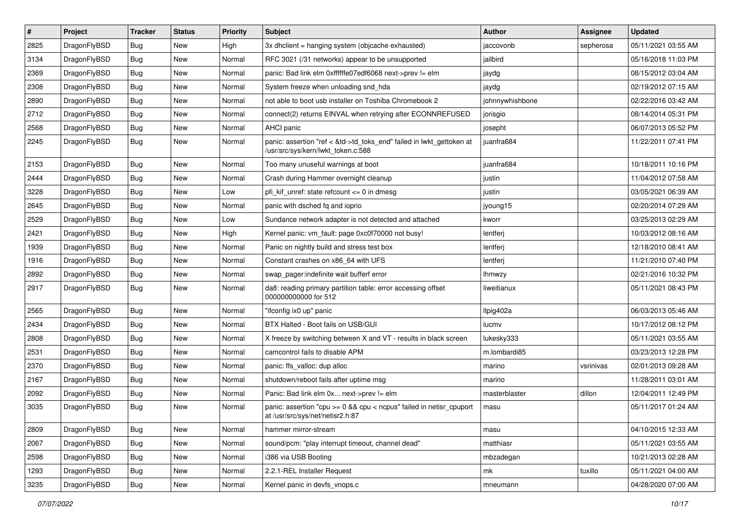| #    | Project      | <b>Tracker</b> | <b>Status</b> | <b>Priority</b> | Subject                                                                                                    | <b>Author</b>   | Assignee  | <b>Updated</b>      |
|------|--------------|----------------|---------------|-----------------|------------------------------------------------------------------------------------------------------------|-----------------|-----------|---------------------|
| 2825 | DragonFlyBSD | Bug            | New           | High            | 3x dhclient = hanging system (objcache exhausted)                                                          | jaccovonb       | sepherosa | 05/11/2021 03:55 AM |
| 3134 | DragonFlyBSD | Bug            | <b>New</b>    | Normal          | RFC 3021 (/31 networks) appear to be unsupported                                                           | jailbird        |           | 05/16/2018 11:03 PM |
| 2369 | DragonFlyBSD | Bug            | <b>New</b>    | Normal          | panic: Bad link elm 0xffffffe07edf6068 next->prev != elm                                                   | jaydg           |           | 08/15/2012 03:04 AM |
| 2308 | DragonFlyBSD | Bug            | New           | Normal          | System freeze when unloading snd_hda                                                                       | jaydg           |           | 02/19/2012 07:15 AM |
| 2890 | DragonFlyBSD | Bug            | <b>New</b>    | Normal          | not able to boot usb installer on Toshiba Chromebook 2                                                     | johnnywhishbone |           | 02/22/2016 03:42 AM |
| 2712 | DragonFlyBSD | Bug            | New           | Normal          | connect(2) returns EINVAL when retrying after ECONNREFUSED                                                 | jorisgio        |           | 08/14/2014 05:31 PM |
| 2568 | DragonFlyBSD | Bug            | New           | Normal          | AHCI panic                                                                                                 | josepht         |           | 06/07/2013 05:52 PM |
| 2245 | DragonFlyBSD | Bug            | New           | Normal          | panic: assertion "ref < &td->td_toks_end" failed in lwkt_gettoken at<br>/usr/src/sys/kern/lwkt_token.c:588 | juanfra684      |           | 11/22/2011 07:41 PM |
| 2153 | DragonFlyBSD | Bug            | <b>New</b>    | Normal          | Too many unuseful warnings at boot                                                                         | juanfra684      |           | 10/18/2011 10:16 PM |
| 2444 | DragonFlyBSD | <b>Bug</b>     | <b>New</b>    | Normal          | Crash during Hammer overnight cleanup                                                                      | justin          |           | 11/04/2012 07:58 AM |
| 3228 | DragonFlyBSD | <b>Bug</b>     | New           | Low             | pfi kif unref: state refcount $\leq$ 0 in dmesg                                                            | justin          |           | 03/05/2021 06:39 AM |
| 2645 | DragonFlyBSD | <b>Bug</b>     | <b>New</b>    | Normal          | panic with dsched fq and ioprio                                                                            | jyoung15        |           | 02/20/2014 07:29 AM |
| 2529 | DragonFlyBSD | <b>Bug</b>     | <b>New</b>    | Low             | Sundance network adapter is not detected and attached                                                      | kworr           |           | 03/25/2013 02:29 AM |
| 2421 | DragonFlyBSD | <b>Bug</b>     | New           | High            | Kernel panic: vm_fault: page 0xc0f70000 not busy!                                                          | lentferj        |           | 10/03/2012 08:16 AM |
| 1939 | DragonFlyBSD | <b>Bug</b>     | <b>New</b>    | Normal          | Panic on nightly build and stress test box                                                                 | lentferj        |           | 12/18/2010 08:41 AM |
| 1916 | DragonFlyBSD | <b>Bug</b>     | New           | Normal          | Constant crashes on x86 64 with UFS                                                                        | lentferj        |           | 11/21/2010 07:40 PM |
| 2892 | DragonFlyBSD | Bug            | New           | Normal          | swap_pager:indefinite wait bufferf error                                                                   | <b>Ihmwzy</b>   |           | 02/21/2016 10:32 PM |
| 2917 | DragonFlyBSD | <b>Bug</b>     | New           | Normal          | da8: reading primary partition table: error accessing offset<br>000000000000 for 512                       | liweitianux     |           | 05/11/2021 08:43 PM |
| 2565 | DragonFlyBSD | Bug            | <b>New</b>    | Normal          | "ifconfig ix0 up" panic                                                                                    | Itpig402a       |           | 06/03/2013 05:46 AM |
| 2434 | DragonFlyBSD | <b>Bug</b>     | <b>New</b>    | Normal          | BTX Halted - Boot fails on USB/GUI                                                                         | lucmv           |           | 10/17/2012 08:12 PM |
| 2808 | DragonFlyBSD | Bug            | New           | Normal          | X freeze by switching between X and VT - results in black screen                                           | lukesky333      |           | 05/11/2021 03:55 AM |
| 2531 | DragonFlyBSD | <b>Bug</b>     | <b>New</b>    | Normal          | camcontrol fails to disable APM                                                                            | m.lombardi85    |           | 03/23/2013 12:28 PM |
| 2370 | DragonFlyBSD | <b>Bug</b>     | New           | Normal          | panic: ffs_valloc: dup alloc                                                                               | marino          | vsrinivas | 02/01/2013 09:28 AM |
| 2167 | DragonFlyBSD | <b>Bug</b>     | New           | Normal          | shutdown/reboot fails after uptime msg                                                                     | marino          |           | 11/28/2011 03:01 AM |
| 2092 | DragonFlyBSD | <b>Bug</b>     | New           | Normal          | Panic: Bad link elm 0x next->prev != elm                                                                   | masterblaster   | dillon    | 12/04/2011 12:49 PM |
| 3035 | DragonFlyBSD | <b>Bug</b>     | New           | Normal          | panic: assertion "cpu >= 0 && cpu < ncpus" failed in netisr_cpuport<br>at /usr/src/sys/net/netisr2.h:87    | masu            |           | 05/11/2017 01:24 AM |
| 2809 | DragonFlyBSD | Bug            | <b>New</b>    | Normal          | hammer mirror-stream                                                                                       | masu            |           | 04/10/2015 12:33 AM |
| 2067 | DragonFlyBSD | Bug            | <b>New</b>    | Normal          | sound/pcm: "play interrupt timeout, channel dead"                                                          | matthiasr       |           | 05/11/2021 03:55 AM |
| 2598 | DragonFlyBSD | <b>Bug</b>     | New           | Normal          | i386 via USB Booting                                                                                       | mbzadegan       |           | 10/21/2013 02:28 AM |
| 1293 | DragonFlyBSD | <b>Bug</b>     | New           | Normal          | 2.2.1-REL Installer Request                                                                                | mk              | tuxillo   | 05/11/2021 04:00 AM |
| 3235 | DragonFlyBSD | <b>Bug</b>     | New           | Normal          | Kernel panic in devfs_vnops.c                                                                              | mneumann        |           | 04/28/2020 07:00 AM |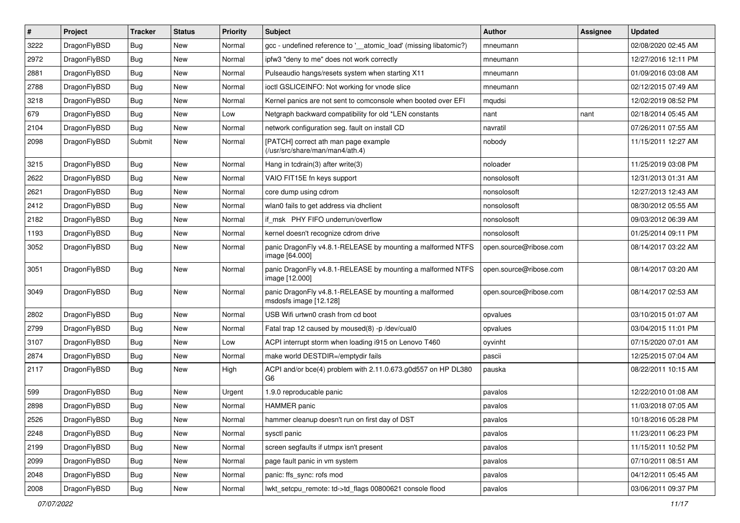| $\sharp$ | Project      | <b>Tracker</b> | <b>Status</b> | <b>Priority</b> | Subject                                                                          | <b>Author</b>          | Assignee | <b>Updated</b>      |
|----------|--------------|----------------|---------------|-----------------|----------------------------------------------------------------------------------|------------------------|----------|---------------------|
| 3222     | DragonFlyBSD | Bug            | New           | Normal          | gcc - undefined reference to '__atomic_load' (missing libatomic?)                | mneumann               |          | 02/08/2020 02:45 AM |
| 2972     | DragonFlyBSD | Bug            | <b>New</b>    | Normal          | ipfw3 "deny to me" does not work correctly                                       | mneumann               |          | 12/27/2016 12:11 PM |
| 2881     | DragonFlyBSD | Bug            | <b>New</b>    | Normal          | Pulseaudio hangs/resets system when starting X11                                 | mneumann               |          | 01/09/2016 03:08 AM |
| 2788     | DragonFlyBSD | Bug            | New           | Normal          | ioctl GSLICEINFO: Not working for vnode slice                                    | mneumann               |          | 02/12/2015 07:49 AM |
| 3218     | DragonFlyBSD | Bug            | <b>New</b>    | Normal          | Kernel panics are not sent to comconsole when booted over EFI                    | mqudsi                 |          | 12/02/2019 08:52 PM |
| 679      | DragonFlyBSD | Bug            | New           | Low             | Netgraph backward compatibility for old *LEN constants                           | nant                   | nant     | 02/18/2014 05:45 AM |
| 2104     | DragonFlyBSD | Bug            | New           | Normal          | network configuration seg. fault on install CD                                   | navratil               |          | 07/26/2011 07:55 AM |
| 2098     | DragonFlyBSD | Submit         | New           | Normal          | [PATCH] correct ath man page example<br>(/usr/src/share/man/man4/ath.4)          | nobody                 |          | 11/15/2011 12:27 AM |
| 3215     | DragonFlyBSD | Bug            | New           | Normal          | Hang in tcdrain(3) after write(3)                                                | noloader               |          | 11/25/2019 03:08 PM |
| 2622     | DragonFlyBSD | Bug            | <b>New</b>    | Normal          | VAIO FIT15E fn keys support                                                      | nonsolosoft            |          | 12/31/2013 01:31 AM |
| 2621     | DragonFlyBSD | Bug            | New           | Normal          | core dump using cdrom                                                            | nonsolosoft            |          | 12/27/2013 12:43 AM |
| 2412     | DragonFlyBSD | Bug            | <b>New</b>    | Normal          | wlan0 fails to get address via dhclient                                          | nonsolosoft            |          | 08/30/2012 05:55 AM |
| 2182     | DragonFlyBSD | <b>Bug</b>     | <b>New</b>    | Normal          | if_msk PHY FIFO underrun/overflow                                                | nonsolosoft            |          | 09/03/2012 06:39 AM |
| 1193     | DragonFlyBSD | Bug            | New           | Normal          | kernel doesn't recognize cdrom drive                                             | nonsolosoft            |          | 01/25/2014 09:11 PM |
| 3052     | DragonFlyBSD | Bug            | <b>New</b>    | Normal          | panic DragonFly v4.8.1-RELEASE by mounting a malformed NTFS<br>image [64.000]    | open.source@ribose.com |          | 08/14/2017 03:22 AM |
| 3051     | DragonFlyBSD | <b>Bug</b>     | New           | Normal          | panic DragonFly v4.8.1-RELEASE by mounting a malformed NTFS<br>image [12.000]    | open.source@ribose.com |          | 08/14/2017 03:20 AM |
| 3049     | DragonFlyBSD | Bug            | New           | Normal          | panic DragonFly v4.8.1-RELEASE by mounting a malformed<br>msdosfs image [12.128] | open.source@ribose.com |          | 08/14/2017 02:53 AM |
| 2802     | DragonFlyBSD | Bug            | <b>New</b>    | Normal          | USB Wifi urtwn0 crash from cd boot                                               | opvalues               |          | 03/10/2015 01:07 AM |
| 2799     | DragonFlyBSD | Bug            | New           | Normal          | Fatal trap 12 caused by moused(8) -p /dev/cual0                                  | opvalues               |          | 03/04/2015 11:01 PM |
| 3107     | DragonFlyBSD | Bug            | New           | Low             | ACPI interrupt storm when loading i915 on Lenovo T460                            | oyvinht                |          | 07/15/2020 07:01 AM |
| 2874     | DragonFlyBSD | Bug            | <b>New</b>    | Normal          | make world DESTDIR=/emptydir fails                                               | pascii                 |          | 12/25/2015 07:04 AM |
| 2117     | DragonFlyBSD | <b>Bug</b>     | New           | High            | ACPI and/or bce(4) problem with 2.11.0.673.g0d557 on HP DL380<br>G6              | pauska                 |          | 08/22/2011 10:15 AM |
| 599      | DragonFlyBSD | Bug            | New           | Urgent          | 1.9.0 reproducable panic                                                         | pavalos                |          | 12/22/2010 01:08 AM |
| 2898     | DragonFlyBSD | Bug            | <b>New</b>    | Normal          | <b>HAMMER</b> panic                                                              | pavalos                |          | 11/03/2018 07:05 AM |
| 2526     | DragonFlyBSD | Bug            | <b>New</b>    | Normal          | hammer cleanup doesn't run on first day of DST                                   | pavalos                |          | 10/18/2016 05:28 PM |
| 2248     | DragonFlyBSD | <b>Bug</b>     | <b>New</b>    | Normal          | sysctl panic                                                                     | pavalos                |          | 11/23/2011 06:23 PM |
| 2199     | DragonFlyBSD | Bug            | New           | Normal          | screen segfaults if utmpx isn't present                                          | pavalos                |          | 11/15/2011 10:52 PM |
| 2099     | DragonFlyBSD | <b>Bug</b>     | New           | Normal          | page fault panic in vm system                                                    | pavalos                |          | 07/10/2011 08:51 AM |
| 2048     | DragonFlyBSD | <b>Bug</b>     | <b>New</b>    | Normal          | panic: ffs_sync: rofs mod                                                        | pavalos                |          | 04/12/2011 05:45 AM |
| 2008     | DragonFlyBSD | <b>Bug</b>     | New           | Normal          | lwkt_setcpu_remote: td->td_flags 00800621 console flood                          | pavalos                |          | 03/06/2011 09:37 PM |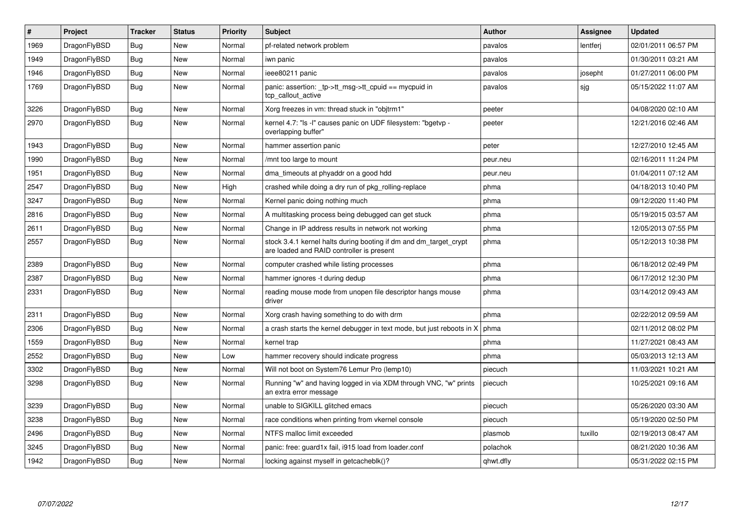| #    | <b>Project</b> | <b>Tracker</b> | <b>Status</b> | <b>Priority</b> | <b>Subject</b>                                                                                                 | <b>Author</b> | <b>Assignee</b> | <b>Updated</b>      |
|------|----------------|----------------|---------------|-----------------|----------------------------------------------------------------------------------------------------------------|---------------|-----------------|---------------------|
| 1969 | DragonFlyBSD   | <b>Bug</b>     | <b>New</b>    | Normal          | pf-related network problem                                                                                     | pavalos       | lentferj        | 02/01/2011 06:57 PM |
| 1949 | DragonFlyBSD   | Bug            | <b>New</b>    | Normal          | iwn panic                                                                                                      | pavalos       |                 | 01/30/2011 03:21 AM |
| 1946 | DragonFlyBSD   | Bug            | New           | Normal          | ieee80211 panic                                                                                                | pavalos       | josepht         | 01/27/2011 06:00 PM |
| 1769 | DragonFlyBSD   | Bug            | <b>New</b>    | Normal          | panic: assertion: tp->tt_msg->tt_cpuid == mycpuid in<br>tcp_callout_active                                     | pavalos       | sjg             | 05/15/2022 11:07 AM |
| 3226 | DragonFlyBSD   | <b>Bug</b>     | <b>New</b>    | Normal          | Xorg freezes in vm: thread stuck in "objtrm1"                                                                  | peeter        |                 | 04/08/2020 02:10 AM |
| 2970 | DragonFlyBSD   | Bug            | <b>New</b>    | Normal          | kernel 4.7: "Is -I" causes panic on UDF filesystem: "bgetvp -<br>overlapping buffer"                           | peeter        |                 | 12/21/2016 02:46 AM |
| 1943 | DragonFlyBSD   | Bug            | New           | Normal          | hammer assertion panic                                                                                         | peter         |                 | 12/27/2010 12:45 AM |
| 1990 | DragonFlyBSD   | <b>Bug</b>     | <b>New</b>    | Normal          | /mnt too large to mount                                                                                        | peur.neu      |                 | 02/16/2011 11:24 PM |
| 1951 | DragonFlyBSD   | <b>Bug</b>     | <b>New</b>    | Normal          | dma timeouts at phyaddr on a good hdd                                                                          | peur.neu      |                 | 01/04/2011 07:12 AM |
| 2547 | DragonFlyBSD   | Bug            | <b>New</b>    | High            | crashed while doing a dry run of pkg_rolling-replace                                                           | phma          |                 | 04/18/2013 10:40 PM |
| 3247 | DragonFlyBSD   | <b>Bug</b>     | New           | Normal          | Kernel panic doing nothing much                                                                                | phma          |                 | 09/12/2020 11:40 PM |
| 2816 | DragonFlyBSD   | Bug            | <b>New</b>    | Normal          | A multitasking process being debugged can get stuck                                                            | phma          |                 | 05/19/2015 03:57 AM |
| 2611 | DragonFlyBSD   | Bug            | <b>New</b>    | Normal          | Change in IP address results in network not working                                                            | phma          |                 | 12/05/2013 07:55 PM |
| 2557 | DragonFlyBSD   | Bug            | New           | Normal          | stock 3.4.1 kernel halts during booting if dm and dm target crypt<br>are loaded and RAID controller is present | phma          |                 | 05/12/2013 10:38 PM |
| 2389 | DragonFlyBSD   | <b>Bug</b>     | <b>New</b>    | Normal          | computer crashed while listing processes                                                                       | phma          |                 | 06/18/2012 02:49 PM |
| 2387 | DragonFlyBSD   | Bug            | New           | Normal          | hammer ignores -t during dedup                                                                                 | phma          |                 | 06/17/2012 12:30 PM |
| 2331 | DragonFlyBSD   | Bug            | <b>New</b>    | Normal          | reading mouse mode from unopen file descriptor hangs mouse<br>driver                                           | phma          |                 | 03/14/2012 09:43 AM |
| 2311 | DragonFlyBSD   | <b>Bug</b>     | <b>New</b>    | Normal          | Xorg crash having something to do with drm                                                                     | phma          |                 | 02/22/2012 09:59 AM |
| 2306 | DragonFlyBSD   | Bug            | <b>New</b>    | Normal          | a crash starts the kernel debugger in text mode, but just reboots in X                                         | phma          |                 | 02/11/2012 08:02 PM |
| 1559 | DragonFlyBSD   | <b>Bug</b>     | <b>New</b>    | Normal          | kernel trap                                                                                                    | phma          |                 | 11/27/2021 08:43 AM |
| 2552 | DragonFlyBSD   | <b>Bug</b>     | <b>New</b>    | Low             | hammer recovery should indicate progress                                                                       | phma          |                 | 05/03/2013 12:13 AM |
| 3302 | DragonFlyBSD   | <b>Bug</b>     | <b>New</b>    | Normal          | Will not boot on System76 Lemur Pro (lemp10)                                                                   | piecuch       |                 | 11/03/2021 10:21 AM |
| 3298 | DragonFlyBSD   | Bug            | <b>New</b>    | Normal          | Running "w" and having logged in via XDM through VNC, "w" prints<br>an extra error message                     | piecuch       |                 | 10/25/2021 09:16 AM |
| 3239 | DragonFlyBSD   | Bug            | New           | Normal          | unable to SIGKILL glitched emacs                                                                               | piecuch       |                 | 05/26/2020 03:30 AM |
| 3238 | DragonFlyBSD   | <b>Bug</b>     | <b>New</b>    | Normal          | race conditions when printing from vkernel console                                                             | piecuch       |                 | 05/19/2020 02:50 PM |
| 2496 | DragonFlyBSD   | Bug            | <b>New</b>    | Normal          | NTFS malloc limit exceeded                                                                                     | plasmob       | tuxillo         | 02/19/2013 08:47 AM |
| 3245 | DragonFlyBSD   | Bug            | New           | Normal          | panic: free: guard1x fail, i915 load from loader.conf                                                          | polachok      |                 | 08/21/2020 10:36 AM |
| 1942 | DragonFlyBSD   | Bug            | <b>New</b>    | Normal          | locking against myself in getcacheblk()?                                                                       | qhwt.dfly     |                 | 05/31/2022 02:15 PM |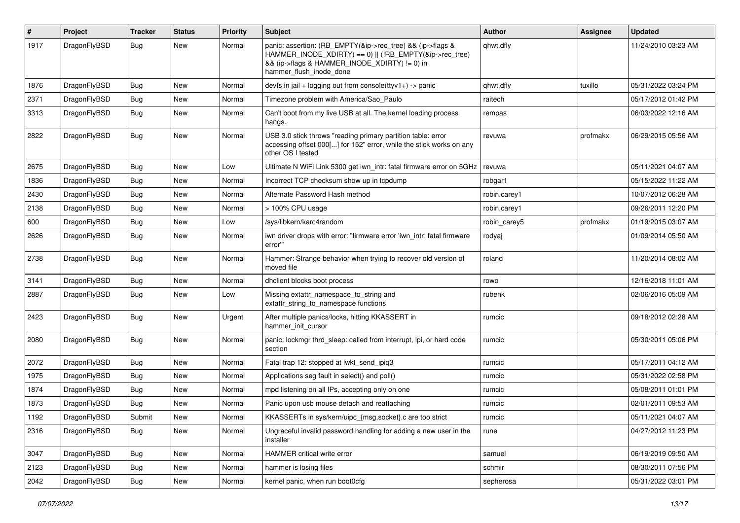| #    | Project      | <b>Tracker</b> | <b>Status</b> | <b>Priority</b> | Subject                                                                                                                                                                                           | Author       | Assignee | <b>Updated</b>      |
|------|--------------|----------------|---------------|-----------------|---------------------------------------------------------------------------------------------------------------------------------------------------------------------------------------------------|--------------|----------|---------------------|
| 1917 | DragonFlyBSD | Bug            | New           | Normal          | panic: assertion: (RB_EMPTY(&ip->rec_tree) && (ip->flags &<br>HAMMER INODE XDIRTY) == 0)    (!RB EMPTY(&ip->rec tree)<br>&& (ip->flags & HAMMER_INODE_XDIRTY) != 0) in<br>hammer_flush_inode_done | qhwt.dfly    |          | 11/24/2010 03:23 AM |
| 1876 | DragonFlyBSD | Bug            | <b>New</b>    | Normal          | devfs in $ ail + logging$ out from console(ttyv1+) -> panic                                                                                                                                       | qhwt.dfly    | tuxillo  | 05/31/2022 03:24 PM |
| 2371 | DragonFlyBSD | <b>Bug</b>     | New           | Normal          | Timezone problem with America/Sao Paulo                                                                                                                                                           | raitech      |          | 05/17/2012 01:42 PM |
| 3313 | DragonFlyBSD | Bug            | New           | Normal          | Can't boot from my live USB at all. The kernel loading process<br>hangs.                                                                                                                          | rempas       |          | 06/03/2022 12:16 AM |
| 2822 | DragonFlyBSD | <b>Bug</b>     | <b>New</b>    | Normal          | USB 3.0 stick throws "reading primary partition table: error<br>accessing offset 000[] for 152" error, while the stick works on any<br>other OS I tested                                          | revuwa       | profmakx | 06/29/2015 05:56 AM |
| 2675 | DragonFlyBSD | Bug            | <b>New</b>    | Low             | Ultimate N WiFi Link 5300 get iwn_intr: fatal firmware error on 5GHz                                                                                                                              | revuwa       |          | 05/11/2021 04:07 AM |
| 1836 | DragonFlyBSD | Bug            | <b>New</b>    | Normal          | Incorrect TCP checksum show up in tcpdump                                                                                                                                                         | robgar1      |          | 05/15/2022 11:22 AM |
| 2430 | DragonFlyBSD | <b>Bug</b>     | New           | Normal          | Alternate Password Hash method                                                                                                                                                                    | robin.carey1 |          | 10/07/2012 06:28 AM |
| 2138 | DragonFlyBSD | <b>Bug</b>     | New           | Normal          | > 100% CPU usage                                                                                                                                                                                  | robin.carey1 |          | 09/26/2011 12:20 PM |
| 600  | DragonFlyBSD | <b>Bug</b>     | <b>New</b>    | Low             | /sys/libkern/karc4random                                                                                                                                                                          | robin carey5 | profmakx | 01/19/2015 03:07 AM |
| 2626 | DragonFlyBSD | <b>Bug</b>     | New           | Normal          | iwn driver drops with error: "firmware error 'iwn intr: fatal firmware<br>error""                                                                                                                 | rodyaj       |          | 01/09/2014 05:50 AM |
| 2738 | DragonFlyBSD | Bug            | <b>New</b>    | Normal          | Hammer: Strange behavior when trying to recover old version of<br>moved file                                                                                                                      | roland       |          | 11/20/2014 08:02 AM |
| 3141 | DragonFlyBSD | Bug            | <b>New</b>    | Normal          | dhclient blocks boot process                                                                                                                                                                      | rowo         |          | 12/16/2018 11:01 AM |
| 2887 | DragonFlyBSD | Bug            | <b>New</b>    | Low             | Missing extattr_namespace_to_string and<br>extattr_string_to_namespace functions                                                                                                                  | rubenk       |          | 02/06/2016 05:09 AM |
| 2423 | DragonFlyBSD | Bug            | <b>New</b>    | Urgent          | After multiple panics/locks, hitting KKASSERT in<br>hammer init cursor                                                                                                                            | rumcic       |          | 09/18/2012 02:28 AM |
| 2080 | DragonFlyBSD | Bug            | New           | Normal          | panic: lockmgr thrd sleep: called from interrupt, ipi, or hard code<br>section                                                                                                                    | rumcic       |          | 05/30/2011 05:06 PM |
| 2072 | DragonFlyBSD | Bug            | <b>New</b>    | Normal          | Fatal trap 12: stopped at lwkt_send_ipiq3                                                                                                                                                         | rumcic       |          | 05/17/2011 04:12 AM |
| 1975 | DragonFlyBSD | <b>Bug</b>     | <b>New</b>    | Normal          | Applications seg fault in select() and poll()                                                                                                                                                     | rumcic       |          | 05/31/2022 02:58 PM |
| 1874 | DragonFlyBSD | Bug            | New           | Normal          | mpd listening on all IPs, accepting only on one                                                                                                                                                   | rumcic       |          | 05/08/2011 01:01 PM |
| 1873 | DragonFlyBSD | <b>Bug</b>     | New           | Normal          | Panic upon usb mouse detach and reattaching                                                                                                                                                       | rumcic       |          | 02/01/2011 09:53 AM |
| 1192 | DragonFlyBSD | Submit         | New           | Normal          | KKASSERTs in sys/kern/uipc_{msg,socket}.c are too strict                                                                                                                                          | rumcic       |          | 05/11/2021 04:07 AM |
| 2316 | DragonFlyBSD | <b>Bug</b>     | New           | Normal          | Ungraceful invalid password handling for adding a new user in the<br>installer                                                                                                                    | rune         |          | 04/27/2012 11:23 PM |
| 3047 | DragonFlyBSD | Bug            | New           | Normal          | HAMMER critical write error                                                                                                                                                                       | samuel       |          | 06/19/2019 09:50 AM |
| 2123 | DragonFlyBSD | <b>Bug</b>     | New           | Normal          | hammer is losing files                                                                                                                                                                            | schmir       |          | 08/30/2011 07:56 PM |
| 2042 | DragonFlyBSD | <b>Bug</b>     | New           | Normal          | kernel panic, when run boot0cfg                                                                                                                                                                   | sepherosa    |          | 05/31/2022 03:01 PM |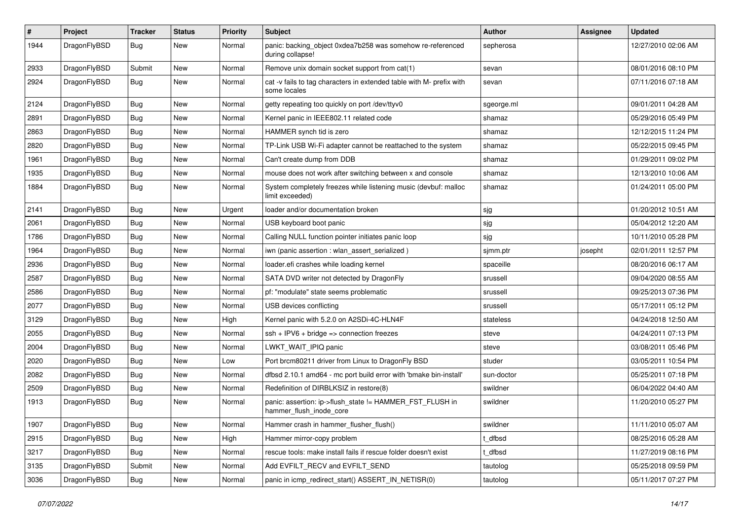| $\sharp$ | Project      | <b>Tracker</b> | <b>Status</b> | <b>Priority</b> | Subject                                                                              | Author     | Assignee | <b>Updated</b>      |
|----------|--------------|----------------|---------------|-----------------|--------------------------------------------------------------------------------------|------------|----------|---------------------|
| 1944     | DragonFlyBSD | Bug            | New           | Normal          | panic: backing_object 0xdea7b258 was somehow re-referenced<br>during collapse!       | sepherosa  |          | 12/27/2010 02:06 AM |
| 2933     | DragonFlyBSD | Submit         | <b>New</b>    | Normal          | Remove unix domain socket support from cat(1)                                        | sevan      |          | 08/01/2016 08:10 PM |
| 2924     | DragonFlyBSD | Bug            | New           | Normal          | cat -v fails to tag characters in extended table with M- prefix with<br>some locales | sevan      |          | 07/11/2016 07:18 AM |
| 2124     | DragonFlyBSD | Bug            | <b>New</b>    | Normal          | getty repeating too quickly on port /dev/ttyv0                                       | sgeorge.ml |          | 09/01/2011 04:28 AM |
| 2891     | DragonFlyBSD | <b>Bug</b>     | New           | Normal          | Kernel panic in IEEE802.11 related code                                              | shamaz     |          | 05/29/2016 05:49 PM |
| 2863     | DragonFlyBSD | <b>Bug</b>     | <b>New</b>    | Normal          | HAMMER synch tid is zero                                                             | shamaz     |          | 12/12/2015 11:24 PM |
| 2820     | DragonFlyBSD | <b>Bug</b>     | <b>New</b>    | Normal          | TP-Link USB Wi-Fi adapter cannot be reattached to the system                         | shamaz     |          | 05/22/2015 09:45 PM |
| 1961     | DragonFlyBSD | <b>Bug</b>     | <b>New</b>    | Normal          | Can't create dump from DDB                                                           | shamaz     |          | 01/29/2011 09:02 PM |
| 1935     | DragonFlyBSD | <b>Bug</b>     | <b>New</b>    | Normal          | mouse does not work after switching between x and console                            | shamaz     |          | 12/13/2010 10:06 AM |
| 1884     | DragonFlyBSD | Bug            | New           | Normal          | System completely freezes while listening music (devbuf: malloc<br>limit exceeded)   | shamaz     |          | 01/24/2011 05:00 PM |
| 2141     | DragonFlyBSD | Bug            | <b>New</b>    | Urgent          | loader and/or documentation broken                                                   | sjg        |          | 01/20/2012 10:51 AM |
| 2061     | DragonFlyBSD | <b>Bug</b>     | <b>New</b>    | Normal          | USB keyboard boot panic                                                              | sjg        |          | 05/04/2012 12:20 AM |
| 1786     | DragonFlyBSD | <b>Bug</b>     | New           | Normal          | Calling NULL function pointer initiates panic loop                                   | sjg        |          | 10/11/2010 05:28 PM |
| 1964     | DragonFlyBSD | <b>Bug</b>     | <b>New</b>    | Normal          | iwn (panic assertion : wlan assert serialized)                                       | sjmm.ptr   | josepht  | 02/01/2011 12:57 PM |
| 2936     | DragonFlyBSD | Bug            | <b>New</b>    | Normal          | loader.efi crashes while loading kernel                                              | spaceille  |          | 08/20/2016 06:17 AM |
| 2587     | DragonFlyBSD | <b>Bug</b>     | New           | Normal          | SATA DVD writer not detected by DragonFly                                            | srussell   |          | 09/04/2020 08:55 AM |
| 2586     | DragonFlyBSD | <b>Bug</b>     | <b>New</b>    | Normal          | pf: "modulate" state seems problematic                                               | srussell   |          | 09/25/2013 07:36 PM |
| 2077     | DragonFlyBSD | <b>Bug</b>     | New           | Normal          | USB devices conflicting                                                              | srussell   |          | 05/17/2011 05:12 PM |
| 3129     | DragonFlyBSD | <b>Bug</b>     | <b>New</b>    | High            | Kernel panic with 5.2.0 on A2SDi-4C-HLN4F                                            | stateless  |          | 04/24/2018 12:50 AM |
| 2055     | DragonFlyBSD | Bug            | <b>New</b>    | Normal          | $ssh + IPV6 + bridge \Rightarrow connection freezes$                                 | steve      |          | 04/24/2011 07:13 PM |
| 2004     | DragonFlyBSD | <b>Bug</b>     | New           | Normal          | LWKT_WAIT_IPIQ panic                                                                 | steve      |          | 03/08/2011 05:46 PM |
| 2020     | DragonFlyBSD | <b>Bug</b>     | New           | Low             | Port brcm80211 driver from Linux to DragonFly BSD                                    | studer     |          | 03/05/2011 10:54 PM |
| 2082     | DragonFlyBSD | <b>Bug</b>     | <b>New</b>    | Normal          | dfbsd 2.10.1 amd64 - mc port build error with 'bmake bin-install'                    | sun-doctor |          | 05/25/2011 07:18 PM |
| 2509     | DragonFlyBSD | <b>Bug</b>     | New           | Normal          | Redefinition of DIRBLKSIZ in restore(8)                                              | swildner   |          | 06/04/2022 04:40 AM |
| 1913     | DragonFlyBSD | <b>Bug</b>     | <b>New</b>    | Normal          | panic: assertion: ip->flush_state != HAMMER_FST_FLUSH in<br>hammer_flush_inode_core  | swildner   |          | 11/20/2010 05:27 PM |
| 1907     | DragonFlyBSD | <b>Bug</b>     | New           | Normal          | Hammer crash in hammer flusher flush()                                               | swildner   |          | 11/11/2010 05:07 AM |
| 2915     | DragonFlyBSD | <b>Bug</b>     | New           | High            | Hammer mirror-copy problem                                                           | t_dfbsd    |          | 08/25/2016 05:28 AM |
| 3217     | DragonFlyBSD | <b>Bug</b>     | New           | Normal          | rescue tools: make install fails if rescue folder doesn't exist                      | t dfbsd    |          | 11/27/2019 08:16 PM |
| 3135     | DragonFlyBSD | Submit         | New           | Normal          | Add EVFILT_RECV and EVFILT_SEND                                                      | tautolog   |          | 05/25/2018 09:59 PM |
| 3036     | DragonFlyBSD | <b>Bug</b>     | New           | Normal          | panic in icmp_redirect_start() ASSERT_IN_NETISR(0)                                   | tautolog   |          | 05/11/2017 07:27 PM |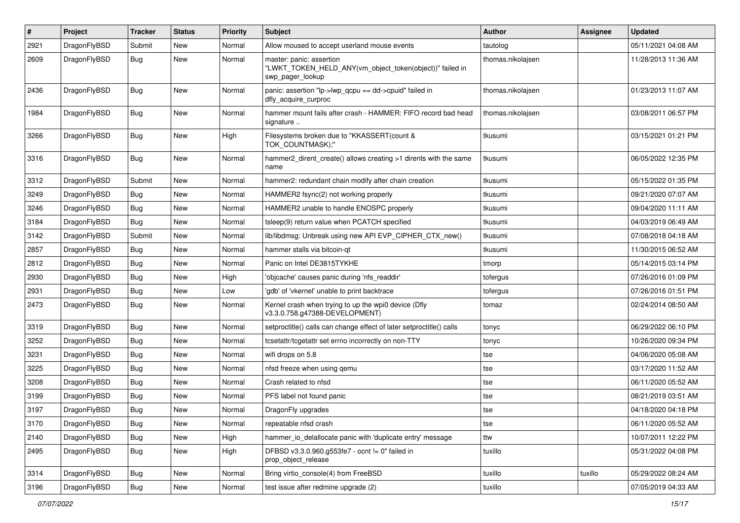| #    | Project      | <b>Tracker</b> | <b>Status</b> | <b>Priority</b> | Subject                                                                                                  | Author            | Assignee | <b>Updated</b>      |
|------|--------------|----------------|---------------|-----------------|----------------------------------------------------------------------------------------------------------|-------------------|----------|---------------------|
| 2921 | DragonFlyBSD | Submit         | <b>New</b>    | Normal          | Allow moused to accept userland mouse events                                                             | tautolog          |          | 05/11/2021 04:08 AM |
| 2609 | DragonFlyBSD | <b>Bug</b>     | New           | Normal          | master: panic: assertion<br>"LWKT_TOKEN_HELD_ANY(vm_object_token(object))" failed in<br>swp_pager_lookup | thomas.nikolajsen |          | 11/28/2013 11:36 AM |
| 2436 | DragonFlyBSD | Bug            | <b>New</b>    | Normal          | panic: assertion "lp->lwp_qcpu == dd->cpuid" failed in<br>dfly_acquire_curproc                           | thomas.nikolajsen |          | 01/23/2013 11:07 AM |
| 1984 | DragonFlyBSD | Bug            | <b>New</b>    | Normal          | hammer mount fails after crash - HAMMER: FIFO record bad head<br>signature                               | thomas.nikolajsen |          | 03/08/2011 06:57 PM |
| 3266 | DragonFlyBSD | <b>Bug</b>     | New           | High            | Filesystems broken due to "KKASSERT(count &<br>TOK_COUNTMASK);"                                          | tkusumi           |          | 03/15/2021 01:21 PM |
| 3316 | DragonFlyBSD | Bug            | New           | Normal          | hammer2 dirent create() allows creating >1 dirents with the same<br>name                                 | tkusumi           |          | 06/05/2022 12:35 PM |
| 3312 | DragonFlyBSD | Submit         | <b>New</b>    | Normal          | hammer2: redundant chain modify after chain creation                                                     | tkusumi           |          | 05/15/2022 01:35 PM |
| 3249 | DragonFlyBSD | Bug            | New           | Normal          | HAMMER2 fsync(2) not working properly                                                                    | tkusumi           |          | 09/21/2020 07:07 AM |
| 3246 | DragonFlyBSD | Bug            | New           | Normal          | HAMMER2 unable to handle ENOSPC properly                                                                 | tkusumi           |          | 09/04/2020 11:11 AM |
| 3184 | DragonFlyBSD | Bug            | <b>New</b>    | Normal          | tsleep(9) return value when PCATCH specified                                                             | tkusumi           |          | 04/03/2019 06:49 AM |
| 3142 | DragonFlyBSD | Submit         | New           | Normal          | lib/libdmsg: Unbreak using new API EVP_CIPHER_CTX_new()                                                  | tkusumi           |          | 07/08/2018 04:18 AM |
| 2857 | DragonFlyBSD | Bug            | <b>New</b>    | Normal          | hammer stalls via bitcoin-qt                                                                             | tkusumi           |          | 11/30/2015 06:52 AM |
| 2812 | DragonFlyBSD | <b>Bug</b>     | New           | Normal          | Panic on Intel DE3815TYKHE                                                                               | tmorp             |          | 05/14/2015 03:14 PM |
| 2930 | DragonFlyBSD | Bug            | New           | High            | 'objcache' causes panic during 'nfs_readdir'                                                             | tofergus          |          | 07/26/2016 01:09 PM |
| 2931 | DragonFlyBSD | <b>Bug</b>     | <b>New</b>    | Low             | 'gdb' of 'vkernel' unable to print backtrace                                                             | tofergus          |          | 07/26/2016 01:51 PM |
| 2473 | DragonFlyBSD | Bug            | New           | Normal          | Kernel crash when trying to up the wpi0 device (Dfly<br>v3.3.0.758.g47388-DEVELOPMENT)                   | tomaz             |          | 02/24/2014 08:50 AM |
| 3319 | DragonFlyBSD | <b>Bug</b>     | <b>New</b>    | Normal          | setproctitle() calls can change effect of later setproctitle() calls                                     | tonyc             |          | 06/29/2022 06:10 PM |
| 3252 | DragonFlyBSD | Bug            | <b>New</b>    | Normal          | tcsetattr/tcgetattr set errno incorrectly on non-TTY                                                     | tonyc             |          | 10/26/2020 09:34 PM |
| 3231 | DragonFlyBSD | <b>Bug</b>     | <b>New</b>    | Normal          | wifi drops on 5.8                                                                                        | tse               |          | 04/06/2020 05:08 AM |
| 3225 | DragonFlyBSD | <b>Bug</b>     | New           | Normal          | nfsd freeze when using qemu                                                                              | tse               |          | 03/17/2020 11:52 AM |
| 3208 | DragonFlyBSD | Bug            | New           | Normal          | Crash related to nfsd                                                                                    | tse               |          | 06/11/2020 05:52 AM |
| 3199 | DragonFlyBSD | Bug            | <b>New</b>    | Normal          | PFS label not found panic                                                                                | tse               |          | 08/21/2019 03:51 AM |
| 3197 | DragonFlyBSD | <b>Bug</b>     | New           | Normal          | DragonFly upgrades                                                                                       | tse               |          | 04/18/2020 04:18 PM |
| 3170 | DragonFlyBSD | Bug            | <b>New</b>    | Normal          | repeatable nfsd crash                                                                                    | tse               |          | 06/11/2020 05:52 AM |
| 2140 | DragonFlyBSD | Bug            | New           | High            | hammer_io_delallocate panic with 'duplicate entry' message                                               | ttw               |          | 10/07/2011 12:22 PM |
| 2495 | DragonFlyBSD | <b>Bug</b>     | New           | High            | DFBSD v3.3.0.960.g553fe7 - ocnt != 0" failed in<br>prop_object_release                                   | tuxillo           |          | 05/31/2022 04:08 PM |
| 3314 | DragonFlyBSD | <b>Bug</b>     | New           | Normal          | Bring virtio_console(4) from FreeBSD                                                                     | tuxillo           | tuxillo  | 05/29/2022 08:24 AM |
| 3196 | DragonFlyBSD | Bug            | New           | Normal          | test issue after redmine upgrade (2)                                                                     | tuxillo           |          | 07/05/2019 04:33 AM |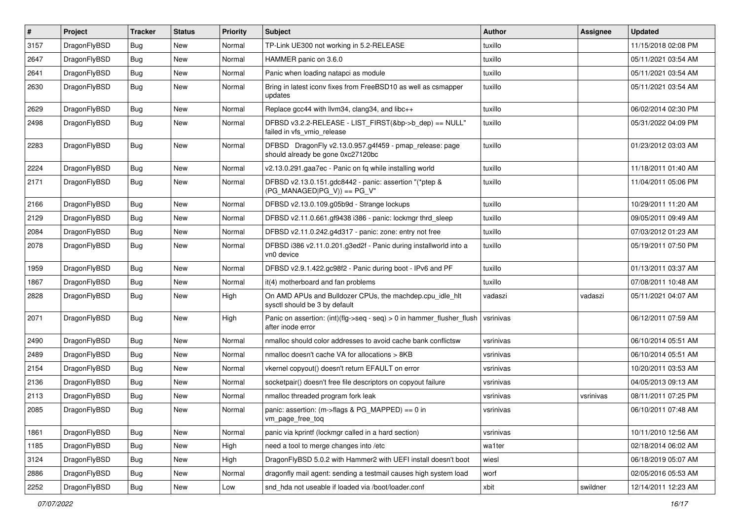| $\vert$ # | Project      | <b>Tracker</b> | <b>Status</b> | <b>Priority</b> | <b>Subject</b>                                                                               | Author    | Assignee  | <b>Updated</b>      |
|-----------|--------------|----------------|---------------|-----------------|----------------------------------------------------------------------------------------------|-----------|-----------|---------------------|
| 3157      | DragonFlyBSD | Bug            | <b>New</b>    | Normal          | TP-Link UE300 not working in 5.2-RELEASE                                                     | tuxillo   |           | 11/15/2018 02:08 PM |
| 2647      | DragonFlyBSD | Bug            | <b>New</b>    | Normal          | HAMMER panic on 3.6.0                                                                        | tuxillo   |           | 05/11/2021 03:54 AM |
| 2641      | DragonFlyBSD | Bug            | <b>New</b>    | Normal          | Panic when loading natapci as module                                                         | tuxillo   |           | 05/11/2021 03:54 AM |
| 2630      | DragonFlyBSD | Bug            | New           | Normal          | Bring in latest iconv fixes from FreeBSD10 as well as csmapper<br>updates                    | tuxillo   |           | 05/11/2021 03:54 AM |
| 2629      | DragonFlyBSD | Bug            | New           | Normal          | Replace gcc44 with llvm34, clang34, and libc++                                               | tuxillo   |           | 06/02/2014 02:30 PM |
| 2498      | DragonFlyBSD | Bug            | <b>New</b>    | Normal          | DFBSD v3.2.2-RELEASE - LIST_FIRST(&bp->b_dep) == NULL"<br>failed in vfs vmio release         | tuxillo   |           | 05/31/2022 04:09 PM |
| 2283      | DragonFlyBSD | Bug            | <b>New</b>    | Normal          | DFBSD DragonFly v2.13.0.957.g4f459 - pmap_release: page<br>should already be gone 0xc27120bc | tuxillo   |           | 01/23/2012 03:03 AM |
| 2224      | DragonFlyBSD | <b>Bug</b>     | <b>New</b>    | Normal          | v2.13.0.291.gaa7ec - Panic on fq while installing world                                      | tuxillo   |           | 11/18/2011 01:40 AM |
| 2171      | DragonFlyBSD | Bug            | New           | Normal          | DFBSD v2.13.0.151.gdc8442 - panic: assertion "(*ptep &<br>$(PG_MANAGED PG_V)$ == PG_V"       | tuxillo   |           | 11/04/2011 05:06 PM |
| 2166      | DragonFlyBSD | <b>Bug</b>     | <b>New</b>    | Normal          | DFBSD v2.13.0.109.g05b9d - Strange lockups                                                   | tuxillo   |           | 10/29/2011 11:20 AM |
| 2129      | DragonFlyBSD | Bug            | <b>New</b>    | Normal          | DFBSD v2.11.0.661.gf9438 i386 - panic: lockmgr thrd_sleep                                    | tuxillo   |           | 09/05/2011 09:49 AM |
| 2084      | DragonFlyBSD | Bug            | <b>New</b>    | Normal          | DFBSD v2.11.0.242.g4d317 - panic: zone: entry not free                                       | tuxillo   |           | 07/03/2012 01:23 AM |
| 2078      | DragonFlyBSD | Bug            | New           | Normal          | DFBSD i386 v2.11.0.201.g3ed2f - Panic during installworld into a<br>vn0 device               | tuxillo   |           | 05/19/2011 07:50 PM |
| 1959      | DragonFlyBSD | <b>Bug</b>     | New           | Normal          | DFBSD v2.9.1.422.gc98f2 - Panic during boot - IPv6 and PF                                    | tuxillo   |           | 01/13/2011 03:37 AM |
| 1867      | DragonFlyBSD | Bug            | <b>New</b>    | Normal          | it(4) motherboard and fan problems                                                           | tuxillo   |           | 07/08/2011 10:48 AM |
| 2828      | DragonFlyBSD | Bug            | New           | High            | On AMD APUs and Bulldozer CPUs, the machdep.cpu_idle_hlt<br>sysctl should be 3 by default    | vadaszi   | vadaszi   | 05/11/2021 04:07 AM |
| 2071      | DragonFlyBSD | Bug            | New           | High            | Panic on assertion: (int)(flg->seq - seq) > 0 in hammer_flusher_flush<br>after inode error   | vsrinivas |           | 06/12/2011 07:59 AM |
| 2490      | DragonFlyBSD | <b>Bug</b>     | New           | Normal          | nmalloc should color addresses to avoid cache bank conflictsw                                | vsrinivas |           | 06/10/2014 05:51 AM |
| 2489      | DragonFlyBSD | Bug            | <b>New</b>    | Normal          | nmalloc doesn't cache VA for allocations > 8KB                                               | vsrinivas |           | 06/10/2014 05:51 AM |
| 2154      | DragonFlyBSD | <b>Bug</b>     | New           | Normal          | vkernel copyout() doesn't return EFAULT on error                                             | vsrinivas |           | 10/20/2011 03:53 AM |
| 2136      | DragonFlyBSD | Bug            | <b>New</b>    | Normal          | socketpair() doesn't free file descriptors on copyout failure                                | vsrinivas |           | 04/05/2013 09:13 AM |
| 2113      | DragonFlyBSD | Bug            | <b>New</b>    | Normal          | nmalloc threaded program fork leak                                                           | vsrinivas | vsrinivas | 08/11/2011 07:25 PM |
| 2085      | DragonFlyBSD | <b>Bug</b>     | New           | Normal          | panic: assertion: (m->flags & PG_MAPPED) == 0 in<br>vm_page_free_toq                         | vsrinivas |           | 06/10/2011 07:48 AM |
| 1861      | DragonFlyBSD | <b>Bug</b>     | New           | Normal          | panic via kprintf (lockmgr called in a hard section)                                         | vsrinivas |           | 10/11/2010 12:56 AM |
| 1185      | DragonFlyBSD | <b>Bug</b>     | New           | High            | need a tool to merge changes into /etc                                                       | wa1ter    |           | 02/18/2014 06:02 AM |
| 3124      | DragonFlyBSD | Bug            | New           | High            | DragonFlyBSD 5.0.2 with Hammer2 with UEFI install doesn't boot                               | wiesl     |           | 06/18/2019 05:07 AM |
| 2886      | DragonFlyBSD | Bug            | New           | Normal          | dragonfly mail agent: sending a testmail causes high system load                             | worf      |           | 02/05/2016 05:53 AM |
| 2252      | DragonFlyBSD | Bug            | New           | Low             | snd hda not useable if loaded via /boot/loader.conf                                          | xbit      | swildner  | 12/14/2011 12:23 AM |